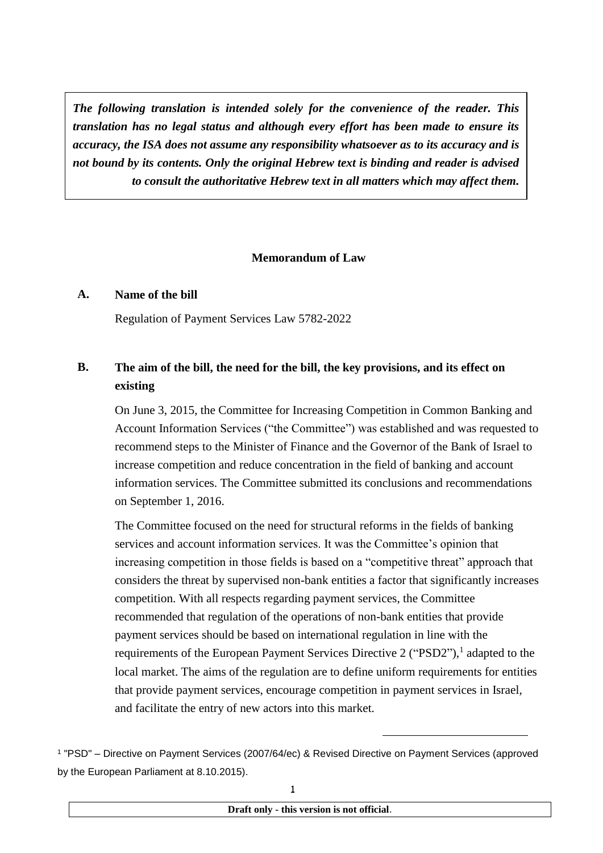*The following translation is intended solely for the convenience of the reader. This translation has no legal status and although every effort has been made to ensure its accuracy, the ISA does not assume any responsibility whatsoever as to its accuracy and is not bound by its contents. Only the original Hebrew text is binding and reader is advised to consult the authoritative Hebrew text in all matters which may affect them.*

#### **Memorandum of Law**

## **A. Name of the bill**

Regulation of Payment Services Law 5782-2022

## **B. The aim of the bill, the need for the bill, the key provisions, and its effect on existing**

On June 3, 2015, the Committee for Increasing Competition in Common Banking and Account Information Services ("the Committee") was established and was requested to recommend steps to the Minister of Finance and the Governor of the Bank of Israel to increase competition and reduce concentration in the field of banking and account information services. The Committee submitted its conclusions and recommendations on September 1, 2016.

The Committee focused on the need for structural reforms in the fields of banking services and account information services. It was the Committee's opinion that increasing competition in those fields is based on a "competitive threat" approach that considers the threat by supervised non-bank entities a factor that significantly increases competition. With all respects regarding payment services, the Committee recommended that regulation of the operations of non-bank entities that provide payment services should be based on international regulation in line with the requirements of the European Payment Services Directive 2 ("PSD2"),<sup>1</sup> adapted to the local market. The aims of the regulation are to define uniform requirements for entities that provide payment services, encourage competition in payment services in Israel, and facilitate the entry of new actors into this market.

-

<sup>1</sup> "PSD" – Directive on Payment Services (2007/64/ec) & Revised Directive on Payment Services (approved by the European Parliament at 8.10.2015).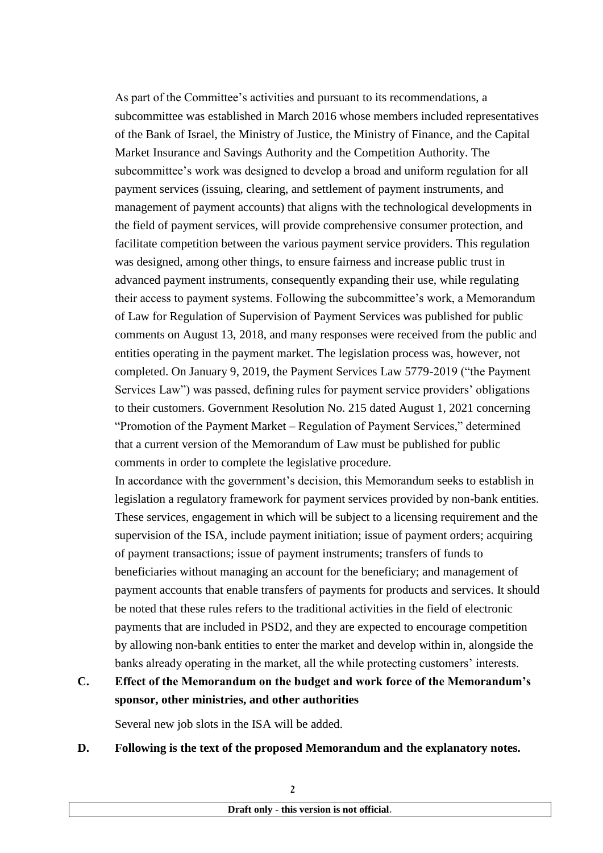As part of the Committee's activities and pursuant to its recommendations, a subcommittee was established in March 2016 whose members included representatives of the Bank of Israel, the Ministry of Justice, the Ministry of Finance, and the Capital Market Insurance and Savings Authority and the Competition Authority. The subcommittee's work was designed to develop a broad and uniform regulation for all payment services (issuing, clearing, and settlement of payment instruments, and management of payment accounts) that aligns with the technological developments in the field of payment services, will provide comprehensive consumer protection, and facilitate competition between the various payment service providers. This regulation was designed, among other things, to ensure fairness and increase public trust in advanced payment instruments, consequently expanding their use, while regulating their access to payment systems. Following the subcommittee's work, a Memorandum of Law for Regulation of Supervision of Payment Services was published for public comments on August 13, 2018, and many responses were received from the public and entities operating in the payment market. The legislation process was, however, not completed. On January 9, 2019, the Payment Services Law 5779-2019 ("the Payment Services Law") was passed, defining rules for payment service providers' obligations to their customers. Government Resolution No. 215 dated August 1, 2021 concerning "Promotion of the Payment Market – Regulation of Payment Services," determined that a current version of the Memorandum of Law must be published for public comments in order to complete the legislative procedure.

In accordance with the government's decision, this Memorandum seeks to establish in legislation a regulatory framework for payment services provided by non-bank entities. These services, engagement in which will be subject to a licensing requirement and the supervision of the ISA, include payment initiation; issue of payment orders; acquiring of payment transactions; issue of payment instruments; transfers of funds to beneficiaries without managing an account for the beneficiary; and management of payment accounts that enable transfers of payments for products and services. It should be noted that these rules refers to the traditional activities in the field of electronic payments that are included in PSD2, and they are expected to encourage competition by allowing non-bank entities to enter the market and develop within in, alongside the banks already operating in the market, all the while protecting customers' interests.

## **C. Effect of the Memorandum on the budget and work force of the Memorandum's sponsor, other ministries, and other authorities**

Several new job slots in the ISA will be added.

### **D. Following is the text of the proposed Memorandum and the explanatory notes.**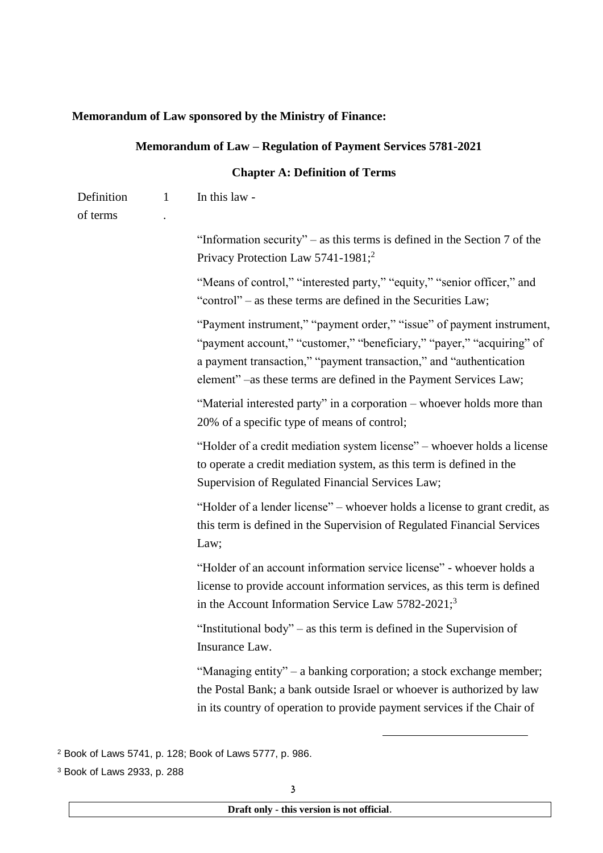## **Memorandum of Law sponsored by the Ministry of Finance:**

|                        |              | Memorandum of Law - Regulation of Payment Services 5781-2021                                                                                                                                                                                                                              |
|------------------------|--------------|-------------------------------------------------------------------------------------------------------------------------------------------------------------------------------------------------------------------------------------------------------------------------------------------|
|                        |              | <b>Chapter A: Definition of Terms</b>                                                                                                                                                                                                                                                     |
| Definition<br>of terms | $\mathbf{1}$ | In this law -                                                                                                                                                                                                                                                                             |
|                        |              | "Information security" – as this terms is defined in the Section $7$ of the<br>Privacy Protection Law 5741-1981; <sup>2</sup>                                                                                                                                                             |
|                        |              | "Means of control," "interested party," "equity," "senior officer," and<br>"control" - as these terms are defined in the Securities Law;                                                                                                                                                  |
|                        |              | "Payment instrument," "payment order," "issue" of payment instrument,<br>"payment account," "customer," "beneficiary," "payer," "acquiring" of<br>a payment transaction," "payment transaction," and "authentication<br>element" –as these terms are defined in the Payment Services Law; |
|                        |              | "Material interested party" in a corporation – whoever holds more than<br>20% of a specific type of means of control;                                                                                                                                                                     |
|                        |              | "Holder of a credit mediation system license" – whoever holds a license<br>to operate a credit mediation system, as this term is defined in the<br>Supervision of Regulated Financial Services Law;                                                                                       |
|                        |              | "Holder of a lender license" – whoever holds a license to grant credit, as<br>this term is defined in the Supervision of Regulated Financial Services<br>Law;                                                                                                                             |
|                        |              | "Holder of an account information service license" - whoever holds a<br>license to provide account information services, as this term is defined<br>in the Account Information Service Law 5782-2021; <sup>3</sup>                                                                        |
|                        |              | "Institutional body" – as this term is defined in the Supervision of<br>Insurance Law.                                                                                                                                                                                                    |
|                        |              | "Managing entity" – a banking corporation; a stock exchange member;<br>the Postal Bank; a bank outside Israel or whoever is authorized by law<br>in its country of operation to provide payment services if the Chair of                                                                  |
|                        |              |                                                                                                                                                                                                                                                                                           |

<sup>2</sup> Book of Laws 5741, p. 128; Book of Laws 5777, p. 986.

<sup>3</sup> Book of Laws 2933, p. 288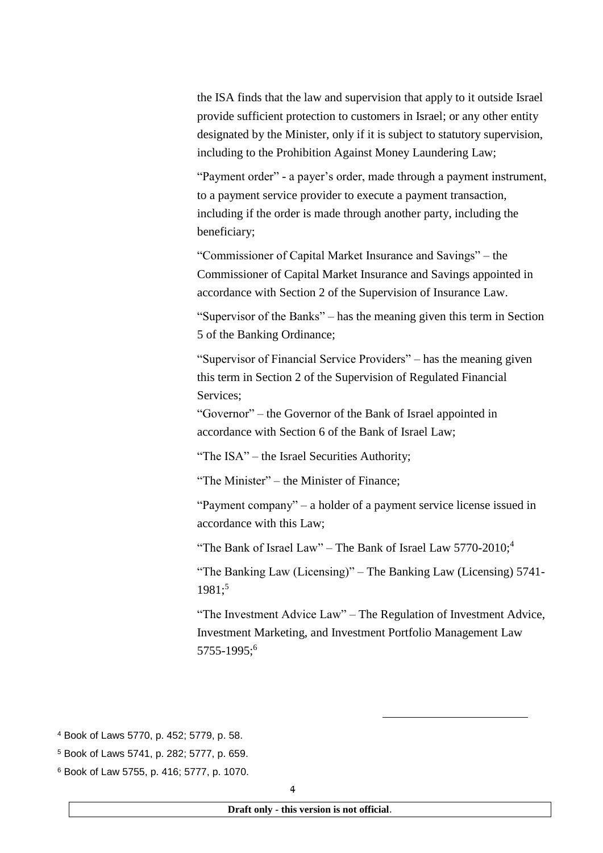the ISA finds that the law and supervision that apply to it outside Israel provide sufficient protection to customers in Israel; or any other entity designated by the Minister, only if it is subject to statutory supervision, including to the Prohibition Against Money Laundering Law;

"Payment order" - a payer's order, made through a payment instrument, to a payment service provider to execute a payment transaction, including if the order is made through another party, including the beneficiary;

"Commissioner of Capital Market Insurance and Savings" – the Commissioner of Capital Market Insurance and Savings appointed in accordance with Section 2 of the Supervision of Insurance Law.

"Supervisor of the Banks" – has the meaning given this term in Section 5 of the Banking Ordinance;

"Supervisor of Financial Service Providers" – has the meaning given this term in Section 2 of the Supervision of Regulated Financial Services;

"Governor" – the Governor of the Bank of Israel appointed in accordance with Section 6 of the Bank of Israel Law;

"The ISA" – the Israel Securities Authority;

"The Minister" – the Minister of Finance;

"Payment company" – a holder of a payment service license issued in accordance with this Law;

"The Bank of Israel Law" – The Bank of Israel Law  $5770-2010$ ;<sup>4</sup>

"The Banking Law (Licensing)" – The Banking Law (Licensing) 5741-  $1981:5$ 

"The Investment Advice Law" – The Regulation of Investment Advice, Investment Marketing, and Investment Portfolio Management Law 5755-1995;<sup>6</sup>

-

<sup>6</sup> Book of Law 5755, p. 416; 5777, p. 1070.

<sup>4</sup> Book of Laws 5770, p. 452; 5779, p. 58.

<sup>5</sup> Book of Laws 5741, p. 282; 5777, p. 659.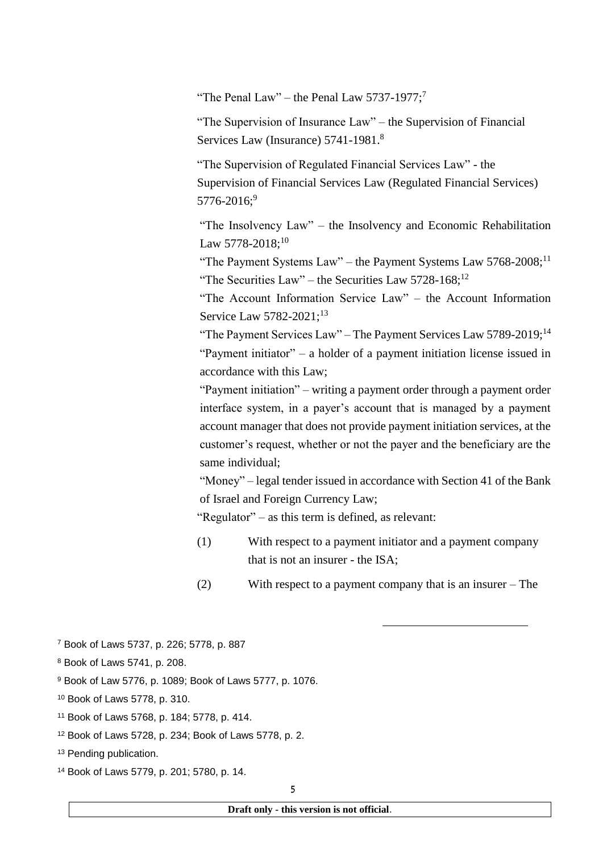"The Penal Law" – the Penal Law  $5737-1977$ ;<sup>7</sup>

"The Supervision of Insurance Law" – the Supervision of Financial Services Law (Insurance) 5741-1981.<sup>8</sup>

"The Supervision of Regulated Financial Services Law" - the Supervision of Financial Services Law (Regulated Financial Services)  $5776 - 2016$ ;<sup>9</sup>

"The Insolvency Law" – the Insolvency and Economic Rehabilitation Law 5778-2018:<sup>10</sup>

"The Payment Systems Law" – the Payment Systems Law 5768-2008;<sup>11</sup> "The Securities Law" – the Securities Law  $5728-168$ ;<sup>12</sup>

"The Account Information Service Law" – the Account Information Service Law 5782-2021:<sup>13</sup>

"The Payment Services Law" – The Payment Services Law 5789-2019;<sup>14</sup> "Payment initiator" – a holder of a payment initiation license issued in accordance with this Law;

"Payment initiation" – writing a payment order through a payment order interface system, in a payer's account that is managed by a payment account manager that does not provide payment initiation services, at the customer's request, whether or not the payer and the beneficiary are the same individual;

"Money" – legal tender issued in accordance with Section 41 of the Bank of Israel and Foreign Currency Law;

"Regulator" – as this term is defined, as relevant:

- (1) With respect to a payment initiator and a payment company that is not an insurer - the ISA;
- (2) With respect to a payment company that is an insurer The

-

- <sup>8</sup> Book of Laws 5741, p. 208.
- <sup>9</sup> Book of Law 5776, p. 1089; Book of Laws 5777, p. 1076.
- <sup>10</sup> Book of Laws 5778, p. 310.
- <sup>11</sup> Book of Laws 5768, p. 184; 5778, p. 414.
- <sup>12</sup> Book of Laws 5728, p. 234; Book of Laws 5778, p. 2.
- <sup>13</sup> Pending publication.
- <sup>14</sup> Book of Laws 5779, p. 201; 5780, p. 14.

<sup>7</sup> Book of Laws 5737, p. 226; 5778, p. 887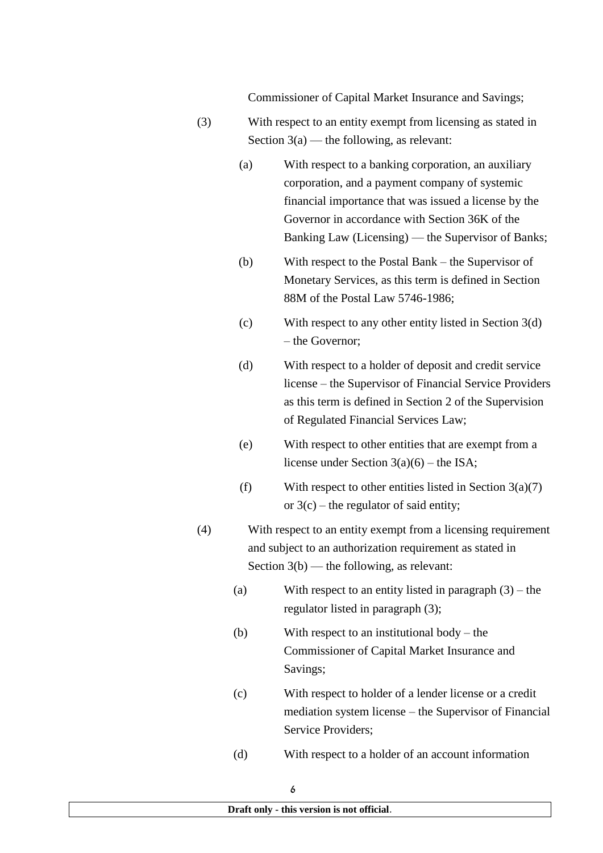Commissioner of Capital Market Insurance and Savings;

- (3) With respect to an entity exempt from licensing as stated in Section  $3(a)$  — the following, as relevant:
	- (a) With respect to a banking corporation, an auxiliary corporation, and a payment company of systemic financial importance that was issued a license by the Governor in accordance with Section 36K of the Banking Law (Licensing) — the Supervisor of Banks;
	- (b) With respect to the Postal Bank the Supervisor of Monetary Services, as this term is defined in Section 88M of the Postal Law 5746-1986;
	- (c) With respect to any other entity listed in Section 3(d) – the Governor;
	- (d) With respect to a holder of deposit and credit service license – the Supervisor of Financial Service Providers as this term is defined in Section 2 of the Supervision of Regulated Financial Services Law;
	- (e) With respect to other entities that are exempt from a license under Section 3(a)(6) – the ISA;
	- (f) With respect to other entities listed in Section  $3(a)(7)$ or  $3(c)$  – the regulator of said entity:
- (4) With respect to an entity exempt from a licensing requirement and subject to an authorization requirement as stated in Section 3(b) — the following, as relevant:
	- (a) With respect to an entity listed in paragraph (3) the regulator listed in paragraph (3);
	- (b) With respect to an institutional body the Commissioner of Capital Market Insurance and Savings;
	- (c) With respect to holder of a lender license or a credit mediation system license – the Supervisor of Financial Service Providers;
	- (d) With respect to a holder of an account information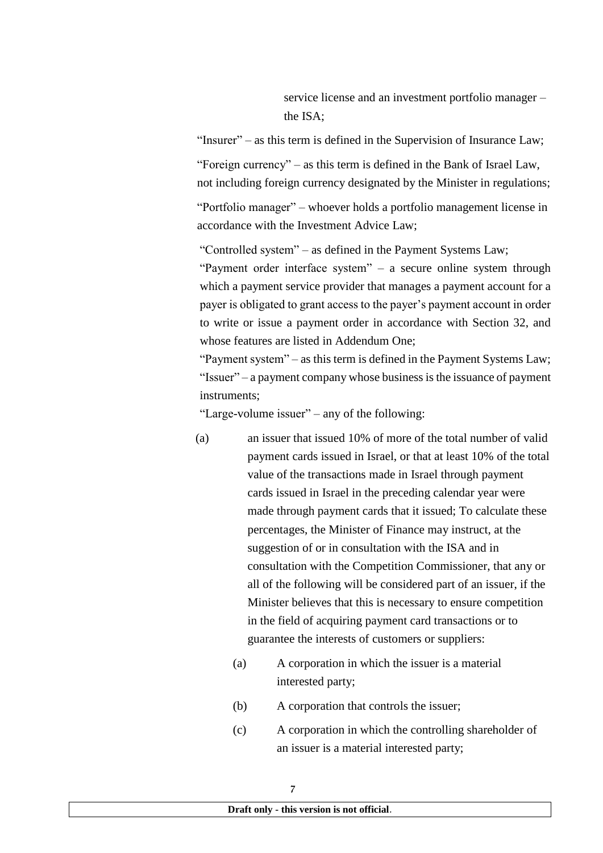service license and an investment portfolio manager – the ISA;

"Insurer" – as this term is defined in the Supervision of Insurance Law;

"Foreign currency" – as this term is defined in the Bank of Israel Law, not including foreign currency designated by the Minister in regulations;

"Portfolio manager" – whoever holds a portfolio management license in accordance with the Investment Advice Law;

"Controlled system" – as defined in the Payment Systems Law;

"Payment order interface system" – a secure online system through which a payment service provider that manages a payment account for a payer is obligated to grant access to the payer's payment account in order to write or issue a payment order in accordance with Section 32, and whose features are listed in Addendum One;

"Payment system" – as this term is defined in the Payment Systems Law; "Issuer" – a payment company whose business is the issuance of payment instruments;

"Large-volume issuer" – any of the following:

- (a) an issuer that issued 10% of more of the total number of valid payment cards issued in Israel, or that at least 10% of the total value of the transactions made in Israel through payment cards issued in Israel in the preceding calendar year were made through payment cards that it issued; To calculate these percentages, the Minister of Finance may instruct, at the suggestion of or in consultation with the ISA and in consultation with the Competition Commissioner, that any or all of the following will be considered part of an issuer, if the Minister believes that this is necessary to ensure competition in the field of acquiring payment card transactions or to guarantee the interests of customers or suppliers:
	- (a) A corporation in which the issuer is a material interested party;
	- (b) A corporation that controls the issuer;
	- (c) A corporation in which the controlling shareholder of an issuer is a material interested party;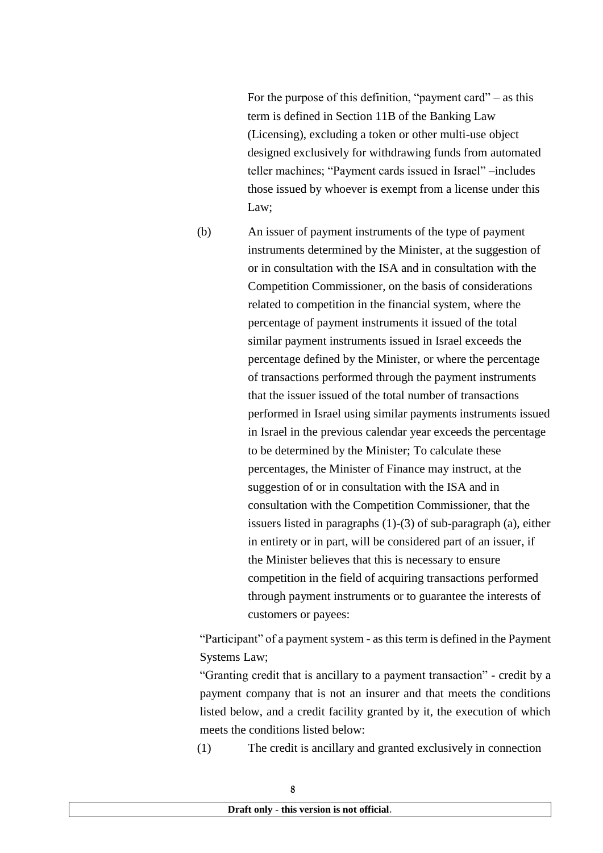For the purpose of this definition, "payment card" – as this term is defined in Section 11B of the Banking Law (Licensing), excluding a token or other multi-use object designed exclusively for withdrawing funds from automated teller machines; "Payment cards issued in Israel" –includes those issued by whoever is exempt from a license under this Law;

(b) An issuer of payment instruments of the type of payment instruments determined by the Minister, at the suggestion of or in consultation with the ISA and in consultation with the Competition Commissioner, on the basis of considerations related to competition in the financial system, where the percentage of payment instruments it issued of the total similar payment instruments issued in Israel exceeds the percentage defined by the Minister, or where the percentage of transactions performed through the payment instruments that the issuer issued of the total number of transactions performed in Israel using similar payments instruments issued in Israel in the previous calendar year exceeds the percentage to be determined by the Minister; To calculate these percentages, the Minister of Finance may instruct, at the suggestion of or in consultation with the ISA and in consultation with the Competition Commissioner, that the issuers listed in paragraphs (1)-(3) of sub-paragraph (a), either in entirety or in part, will be considered part of an issuer, if the Minister believes that this is necessary to ensure competition in the field of acquiring transactions performed through payment instruments or to guarantee the interests of customers or payees:

"Participant" of a payment system - as this term is defined in the Payment Systems Law;

"Granting credit that is ancillary to a payment transaction" - credit by a payment company that is not an insurer and that meets the conditions listed below, and a credit facility granted by it, the execution of which meets the conditions listed below:

(1) The credit is ancillary and granted exclusively in connection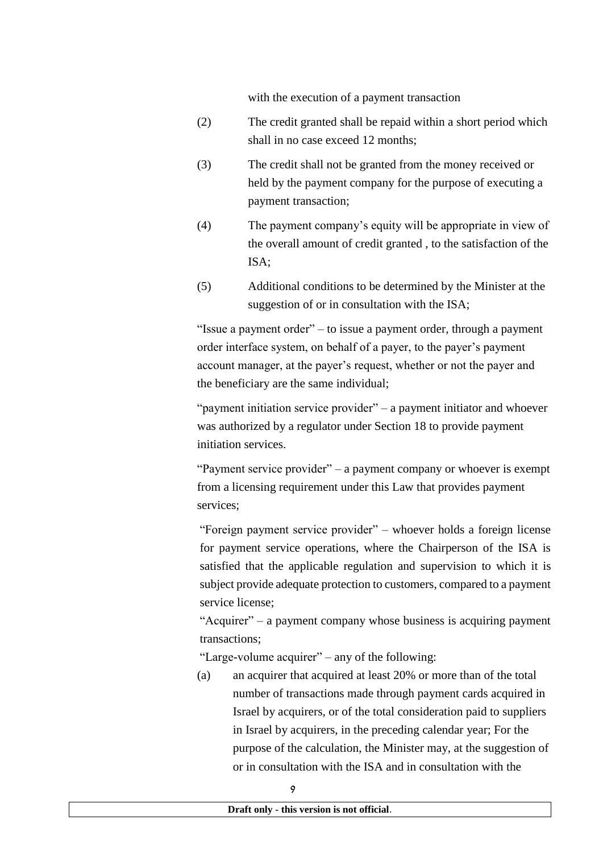with the execution of a payment transaction

- (2) The credit granted shall be repaid within a short period which shall in no case exceed 12 months;
- (3) The credit shall not be granted from the money received or held by the payment company for the purpose of executing a payment transaction;
- (4) The payment company's equity will be appropriate in view of the overall amount of credit granted , to the satisfaction of the ISA;
- (5) Additional conditions to be determined by the Minister at the suggestion of or in consultation with the ISA;

"Issue a payment order" – to issue a payment order, through a payment order interface system, on behalf of a payer, to the payer's payment account manager, at the payer's request, whether or not the payer and the beneficiary are the same individual;

"payment initiation service provider" – a payment initiator and whoever was authorized by a regulator under Section 18 to provide payment initiation services.

"Payment service provider" – a payment company or whoever is exempt from a licensing requirement under this Law that provides payment services;

"Foreign payment service provider" – whoever holds a foreign license for payment service operations, where the Chairperson of the ISA is satisfied that the applicable regulation and supervision to which it is subject provide adequate protection to customers, compared to a payment service license;

"Acquirer" – a payment company whose business is acquiring payment transactions;

"Large-volume acquirer" – any of the following:

(a) an acquirer that acquired at least 20% or more than of the total number of transactions made through payment cards acquired in Israel by acquirers, or of the total consideration paid to suppliers in Israel by acquirers, in the preceding calendar year; For the purpose of the calculation, the Minister may, at the suggestion of or in consultation with the ISA and in consultation with the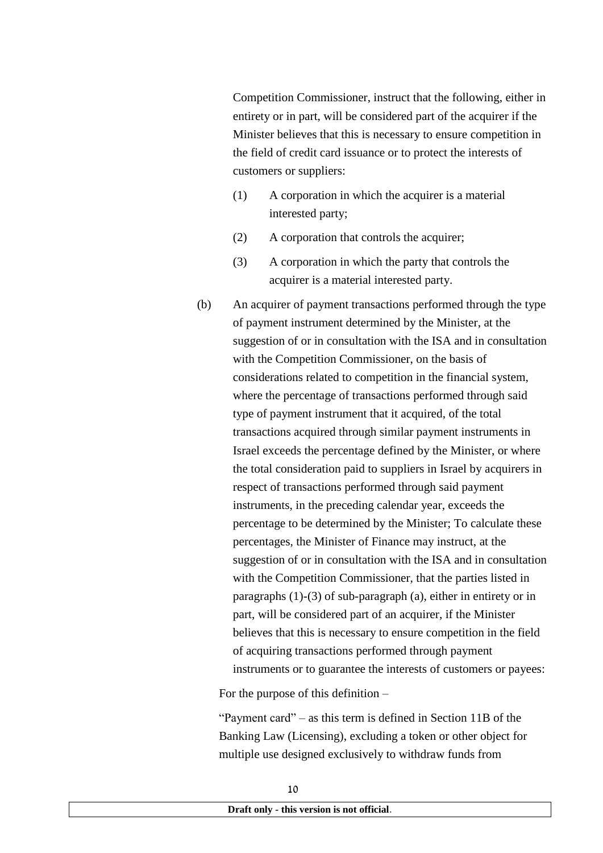Competition Commissioner, instruct that the following, either in entirety or in part, will be considered part of the acquirer if the Minister believes that this is necessary to ensure competition in the field of credit card issuance or to protect the interests of customers or suppliers:

- (1) A corporation in which the acquirer is a material interested party;
- (2) A corporation that controls the acquirer;
- (3) A corporation in which the party that controls the acquirer is a material interested party.
- (b) An acquirer of payment transactions performed through the type of payment instrument determined by the Minister, at the suggestion of or in consultation with the ISA and in consultation with the Competition Commissioner, on the basis of considerations related to competition in the financial system, where the percentage of transactions performed through said type of payment instrument that it acquired, of the total transactions acquired through similar payment instruments in Israel exceeds the percentage defined by the Minister, or where the total consideration paid to suppliers in Israel by acquirers in respect of transactions performed through said payment instruments, in the preceding calendar year, exceeds the percentage to be determined by the Minister; To calculate these percentages, the Minister of Finance may instruct, at the suggestion of or in consultation with the ISA and in consultation with the Competition Commissioner, that the parties listed in paragraphs (1)-(3) of sub-paragraph (a), either in entirety or in part, will be considered part of an acquirer, if the Minister believes that this is necessary to ensure competition in the field of acquiring transactions performed through payment instruments or to guarantee the interests of customers or payees:

For the purpose of this definition –

"Payment card" – as this term is defined in Section 11B of the Banking Law (Licensing), excluding a token or other object for multiple use designed exclusively to withdraw funds from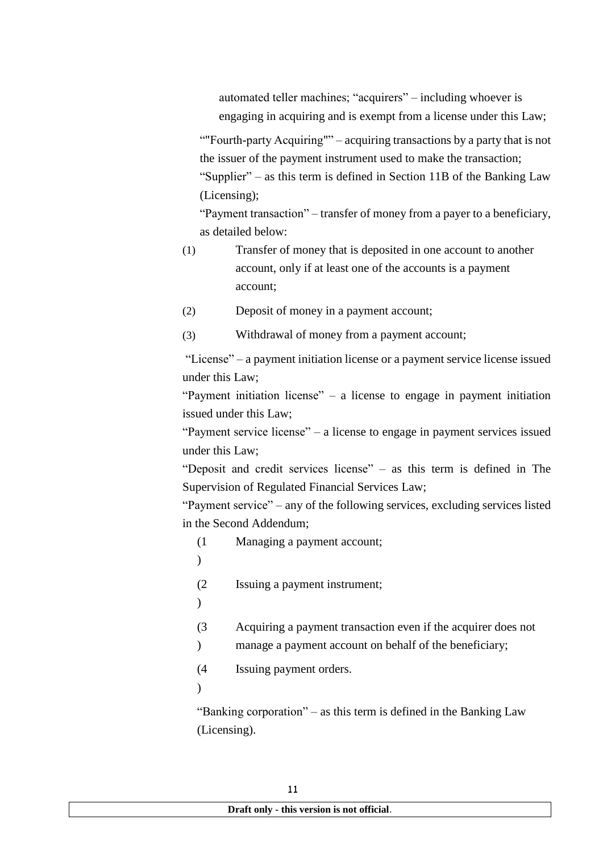automated teller machines; "acquirers" – including whoever is engaging in acquiring and is exempt from a license under this Law;

""Fourth-party Acquiring"" – acquiring transactions by a party that is not the issuer of the payment instrument used to make the transaction; "Supplier" – as this term is defined in Section 11B of the Banking Law (Licensing);

"Payment transaction" – transfer of money from a payer to a beneficiary, as detailed below:

- (1) Transfer of money that is deposited in one account to another account, only if at least one of the accounts is a payment account;
- (2) Deposit of money in a payment account;
- (3) Withdrawal of money from a payment account;

"License" – a payment initiation license or a payment service license issued under this Law;

"Payment initiation license" – a license to engage in payment initiation issued under this Law;

"Payment service license" – a license to engage in payment services issued under this Law;

"Deposit and credit services license" – as this term is defined in The Supervision of Regulated Financial Services Law;

"Payment service" – any of the following services, excluding services listed in the Second Addendum;

(1 Managing a payment account;

 $\lambda$ 

 $(2)$ Issuing a payment instrument;

- $\lambda$
- (3 Acquiring a payment transaction even if the acquirer does not
- $\mathcal{L}$ manage a payment account on behalf of the beneficiary;

 $(4)$ Issuing payment orders.

 $\lambda$ 

"Banking corporation" – as this term is defined in the Banking Law (Licensing).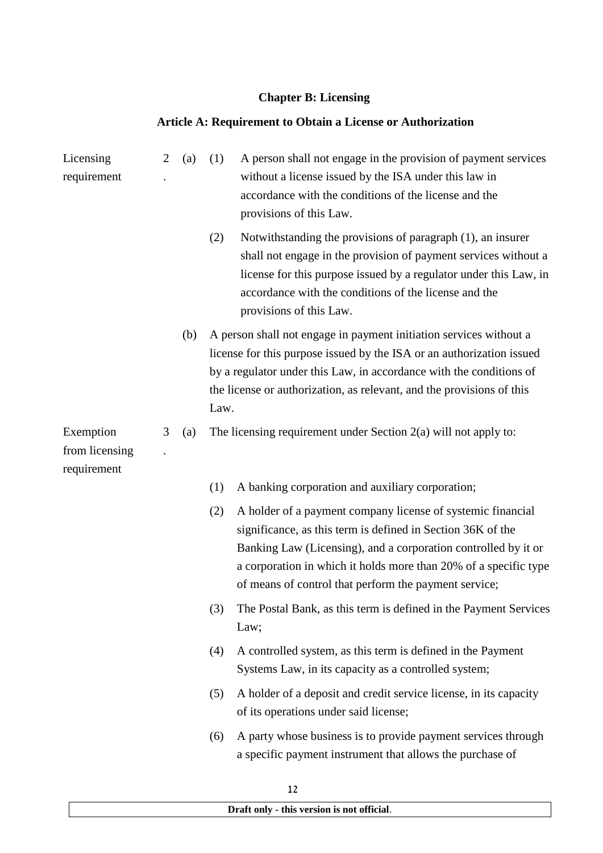# **Chapter B: Licensing**

# **Article A: Requirement to Obtain a License or Authorization**

| Licensing<br>requirement                   | $\overline{2}$ | (a) | (1)  | A person shall not engage in the provision of payment services<br>without a license issued by the ISA under this law in<br>accordance with the conditions of the license and the<br>provisions of this Law.                                                                                                               |
|--------------------------------------------|----------------|-----|------|---------------------------------------------------------------------------------------------------------------------------------------------------------------------------------------------------------------------------------------------------------------------------------------------------------------------------|
|                                            |                |     | (2)  | Notwithstanding the provisions of paragraph (1), an insurer<br>shall not engage in the provision of payment services without a<br>license for this purpose issued by a regulator under this Law, in<br>accordance with the conditions of the license and the<br>provisions of this Law.                                   |
|                                            |                | (b) | Law. | A person shall not engage in payment initiation services without a<br>license for this purpose issued by the ISA or an authorization issued<br>by a regulator under this Law, in accordance with the conditions of<br>the license or authorization, as relevant, and the provisions of this                               |
| Exemption<br>from licensing<br>requirement | 3              | (a) |      | The licensing requirement under Section $2(a)$ will not apply to:                                                                                                                                                                                                                                                         |
|                                            |                |     | (1)  | A banking corporation and auxiliary corporation;                                                                                                                                                                                                                                                                          |
|                                            |                |     | (2)  | A holder of a payment company license of systemic financial<br>significance, as this term is defined in Section 36K of the<br>Banking Law (Licensing), and a corporation controlled by it or<br>a corporation in which it holds more than 20% of a specific type<br>of means of control that perform the payment service; |
|                                            |                |     | (3)  | The Postal Bank, as this term is defined in the Payment Services<br>Law;                                                                                                                                                                                                                                                  |
|                                            |                |     | (4)  | A controlled system, as this term is defined in the Payment<br>Systems Law, in its capacity as a controlled system;                                                                                                                                                                                                       |
|                                            |                |     | (5)  | A holder of a deposit and credit service license, in its capacity<br>of its operations under said license;                                                                                                                                                                                                                |
|                                            |                |     | (6)  | A party whose business is to provide payment services through<br>a specific payment instrument that allows the purchase of                                                                                                                                                                                                |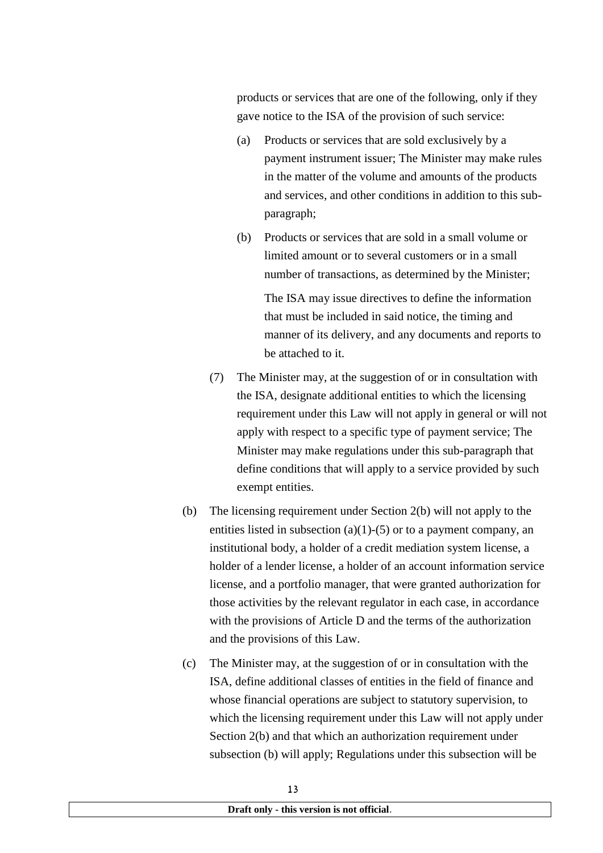products or services that are one of the following, only if they gave notice to the ISA of the provision of such service:

- (a) Products or services that are sold exclusively by a payment instrument issuer; The Minister may make rules in the matter of the volume and amounts of the products and services, and other conditions in addition to this subparagraph;
- (b) Products or services that are sold in a small volume or limited amount or to several customers or in a small number of transactions, as determined by the Minister;

The ISA may issue directives to define the information that must be included in said notice, the timing and manner of its delivery, and any documents and reports to be attached to it.

- (7) The Minister may, at the suggestion of or in consultation with the ISA, designate additional entities to which the licensing requirement under this Law will not apply in general or will not apply with respect to a specific type of payment service; The Minister may make regulations under this sub-paragraph that define conditions that will apply to a service provided by such exempt entities.
- (b) The licensing requirement under Section 2(b) will not apply to the entities listed in subsection (a)(1)-(5) or to a payment company, an institutional body, a holder of a credit mediation system license, a holder of a lender license, a holder of an account information service license, and a portfolio manager, that were granted authorization for those activities by the relevant regulator in each case, in accordance with the provisions of Article D and the terms of the authorization and the provisions of this Law.
- (c) The Minister may, at the suggestion of or in consultation with the ISA, define additional classes of entities in the field of finance and whose financial operations are subject to statutory supervision, to which the licensing requirement under this Law will not apply under Section 2(b) and that which an authorization requirement under subsection (b) will apply; Regulations under this subsection will be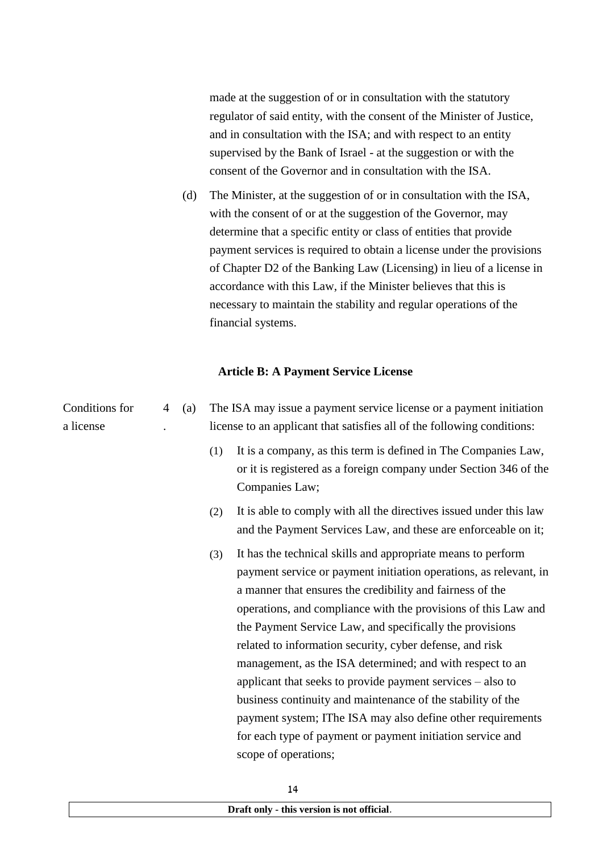made at the suggestion of or in consultation with the statutory regulator of said entity, with the consent of the Minister of Justice, and in consultation with the ISA; and with respect to an entity supervised by the Bank of Israel - at the suggestion or with the consent of the Governor and in consultation with the ISA.

(d) The Minister, at the suggestion of or in consultation with the ISA, with the consent of or at the suggestion of the Governor, may determine that a specific entity or class of entities that provide payment services is required to obtain a license under the provisions of Chapter D2 of the Banking Law (Licensing) in lieu of a license in accordance with this Law, if the Minister believes that this is necessary to maintain the stability and regular operations of the financial systems.

### **Article B: A Payment Service License**

| Conditions for<br>a license | 4 | (a) |     | The ISA may issue a payment service license or a payment initiation<br>license to an applicant that satisfies all of the following conditions:                                                                                                                                                                                                                                                                                                                                                                                                                                                                                                                                                                                          |
|-----------------------------|---|-----|-----|-----------------------------------------------------------------------------------------------------------------------------------------------------------------------------------------------------------------------------------------------------------------------------------------------------------------------------------------------------------------------------------------------------------------------------------------------------------------------------------------------------------------------------------------------------------------------------------------------------------------------------------------------------------------------------------------------------------------------------------------|
|                             |   |     | (1) | It is a company, as this term is defined in The Companies Law,<br>or it is registered as a foreign company under Section 346 of the<br>Companies Law;                                                                                                                                                                                                                                                                                                                                                                                                                                                                                                                                                                                   |
|                             |   |     | (2) | It is able to comply with all the directives issued under this law<br>and the Payment Services Law, and these are enforceable on it;                                                                                                                                                                                                                                                                                                                                                                                                                                                                                                                                                                                                    |
|                             |   |     | (3) | It has the technical skills and appropriate means to perform<br>payment service or payment initiation operations, as relevant, in<br>a manner that ensures the credibility and fairness of the<br>operations, and compliance with the provisions of this Law and<br>the Payment Service Law, and specifically the provisions<br>related to information security, cyber defense, and risk<br>management, as the ISA determined; and with respect to an<br>applicant that seeks to provide payment services – also to<br>business continuity and maintenance of the stability of the<br>payment system; IThe ISA may also define other requirements<br>for each type of payment or payment initiation service and<br>scope of operations; |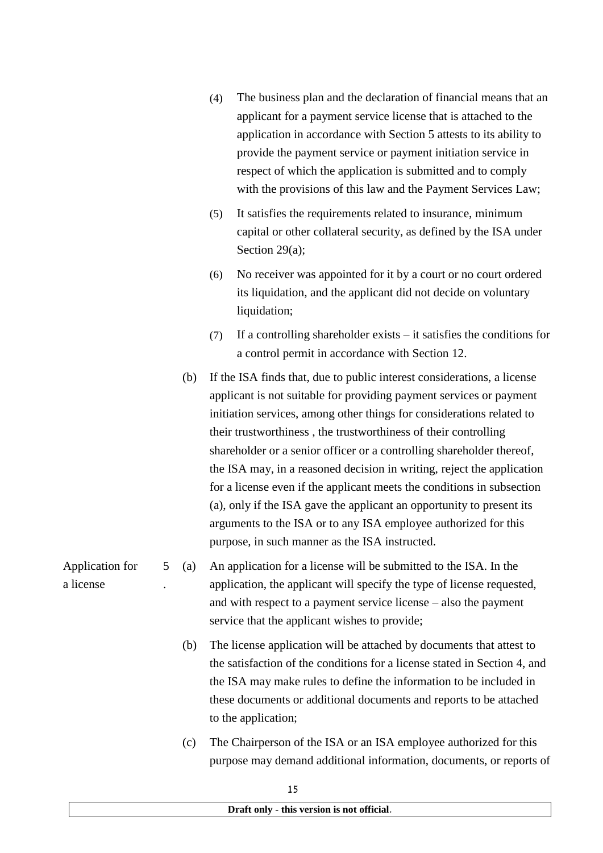- (4) The business plan and the declaration of financial means that an applicant for a payment service license that is attached to the application in accordance with Section 5 attests to its ability to provide the payment service or payment initiation service in respect of which the application is submitted and to comply with the provisions of this law and the Payment Services Law;
- (5) It satisfies the requirements related to insurance, minimum capital or other collateral security, as defined by the ISA under Section 29(a);
- (6) No receiver was appointed for it by a court or no court ordered its liquidation, and the applicant did not decide on voluntary liquidation;
- (7) If a controlling shareholder exists it satisfies the conditions for a control permit in accordance with Section 12.
- (b) If the ISA finds that, due to public interest considerations, a license applicant is not suitable for providing payment services or payment initiation services, among other things for considerations related to their trustworthiness , the trustworthiness of their controlling shareholder or a senior officer or a controlling shareholder thereof, the ISA may, in a reasoned decision in writing, reject the application for a license even if the applicant meets the conditions in subsection (a), only if the ISA gave the applicant an opportunity to present its arguments to the ISA or to any ISA employee authorized for this purpose, in such manner as the ISA instructed.

5 . (a) An application for a license will be submitted to the ISA. In the application, the applicant will specify the type of license requested, and with respect to a payment service license – also the payment service that the applicant wishes to provide;

- (b) The license application will be attached by documents that attest to the satisfaction of the conditions for a license stated in Section 4, and the ISA may make rules to define the information to be included in these documents or additional documents and reports to be attached to the application;
- (c) The Chairperson of the ISA or an ISA employee authorized for this purpose may demand additional information, documents, or reports of

Application for a license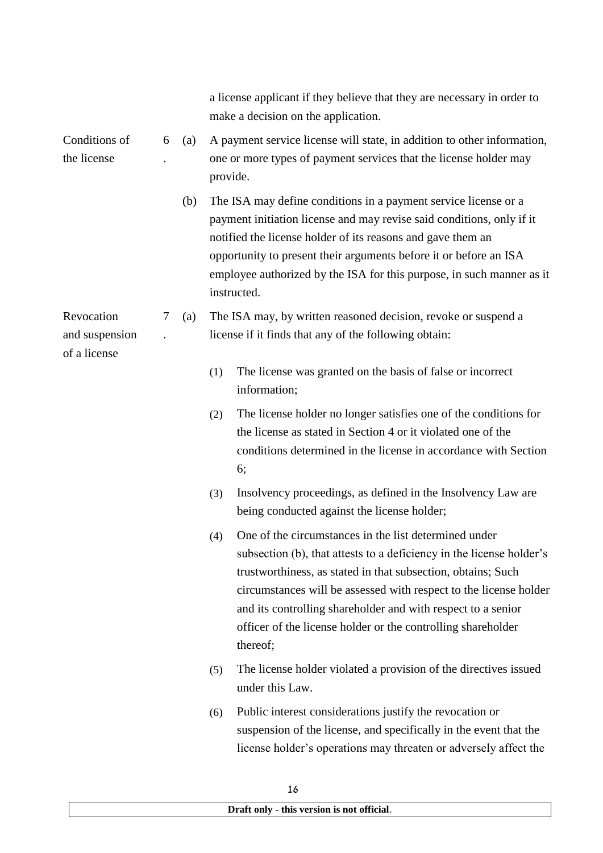|                                              |   |     |          | a license applicant if they believe that they are necessary in order to<br>make a decision on the application.                                                                                                                                                                                                                                                                                                 |
|----------------------------------------------|---|-----|----------|----------------------------------------------------------------------------------------------------------------------------------------------------------------------------------------------------------------------------------------------------------------------------------------------------------------------------------------------------------------------------------------------------------------|
| Conditions of<br>the license                 | 6 | (a) | provide. | A payment service license will state, in addition to other information,<br>one or more types of payment services that the license holder may                                                                                                                                                                                                                                                                   |
|                                              |   | (b) |          | The ISA may define conditions in a payment service license or a<br>payment initiation license and may revise said conditions, only if it<br>notified the license holder of its reasons and gave them an<br>opportunity to present their arguments before it or before an ISA<br>employee authorized by the ISA for this purpose, in such manner as it<br>instructed.                                           |
| Revocation<br>and suspension<br>of a license | 7 | (a) |          | The ISA may, by written reasoned decision, revoke or suspend a<br>license if it finds that any of the following obtain:                                                                                                                                                                                                                                                                                        |
|                                              |   |     | (1)      | The license was granted on the basis of false or incorrect<br>information;                                                                                                                                                                                                                                                                                                                                     |
|                                              |   |     | (2)      | The license holder no longer satisfies one of the conditions for<br>the license as stated in Section 4 or it violated one of the<br>conditions determined in the license in accordance with Section<br>6;                                                                                                                                                                                                      |
|                                              |   |     | (3)      | Insolvency proceedings, as defined in the Insolvency Law are<br>being conducted against the license holder;                                                                                                                                                                                                                                                                                                    |
|                                              |   |     | (4)      | One of the circumstances in the list determined under<br>subsection (b), that attests to a deficiency in the license holder's<br>trustworthiness, as stated in that subsection, obtains; Such<br>circumstances will be assessed with respect to the license holder<br>and its controlling shareholder and with respect to a senior<br>officer of the license holder or the controlling shareholder<br>thereof; |
|                                              |   |     | (5)      | The license holder violated a provision of the directives issued<br>under this Law.                                                                                                                                                                                                                                                                                                                            |
|                                              |   |     | (6)      | Public interest considerations justify the revocation or<br>suspension of the license, and specifically in the event that the<br>license holder's operations may threaten or adversely affect the                                                                                                                                                                                                              |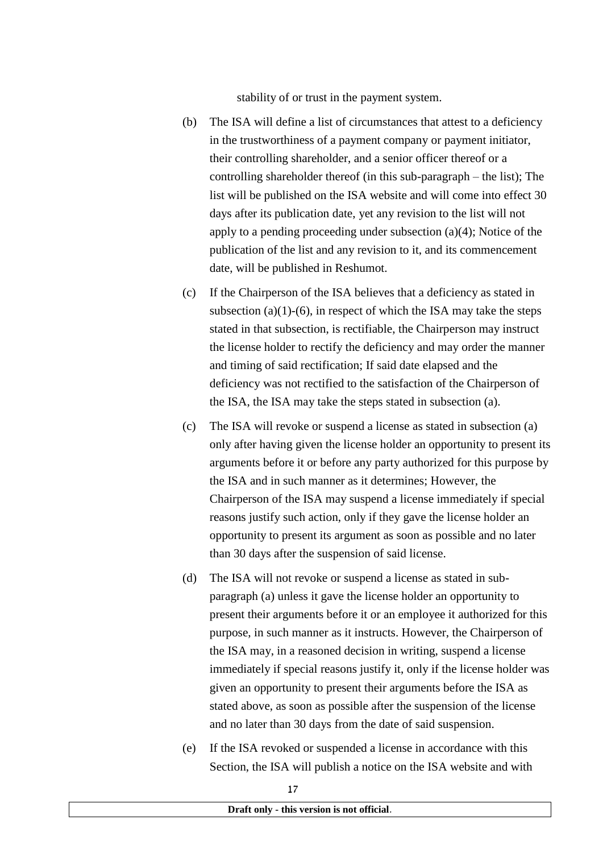stability of or trust in the payment system.

- (b) The ISA will define a list of circumstances that attest to a deficiency in the trustworthiness of a payment company or payment initiator, their controlling shareholder, and a senior officer thereof or a controlling shareholder thereof (in this sub-paragraph – the list); The list will be published on the ISA website and will come into effect 30 days after its publication date, yet any revision to the list will not apply to a pending proceeding under subsection (a)(4); Notice of the publication of the list and any revision to it, and its commencement date, will be published in Reshumot.
- (c) If the Chairperson of the ISA believes that a deficiency as stated in subsection (a)(1)-(6), in respect of which the ISA may take the steps stated in that subsection, is rectifiable, the Chairperson may instruct the license holder to rectify the deficiency and may order the manner and timing of said rectification; If said date elapsed and the deficiency was not rectified to the satisfaction of the Chairperson of the ISA, the ISA may take the steps stated in subsection (a).
- (c) The ISA will revoke or suspend a license as stated in subsection (a) only after having given the license holder an opportunity to present its arguments before it or before any party authorized for this purpose by the ISA and in such manner as it determines; However, the Chairperson of the ISA may suspend a license immediately if special reasons justify such action, only if they gave the license holder an opportunity to present its argument as soon as possible and no later than 30 days after the suspension of said license.
- (d) The ISA will not revoke or suspend a license as stated in subparagraph (a) unless it gave the license holder an opportunity to present their arguments before it or an employee it authorized for this purpose, in such manner as it instructs. However, the Chairperson of the ISA may, in a reasoned decision in writing, suspend a license immediately if special reasons justify it, only if the license holder was given an opportunity to present their arguments before the ISA as stated above, as soon as possible after the suspension of the license and no later than 30 days from the date of said suspension.
- (e) If the ISA revoked or suspended a license in accordance with this Section, the ISA will publish a notice on the ISA website and with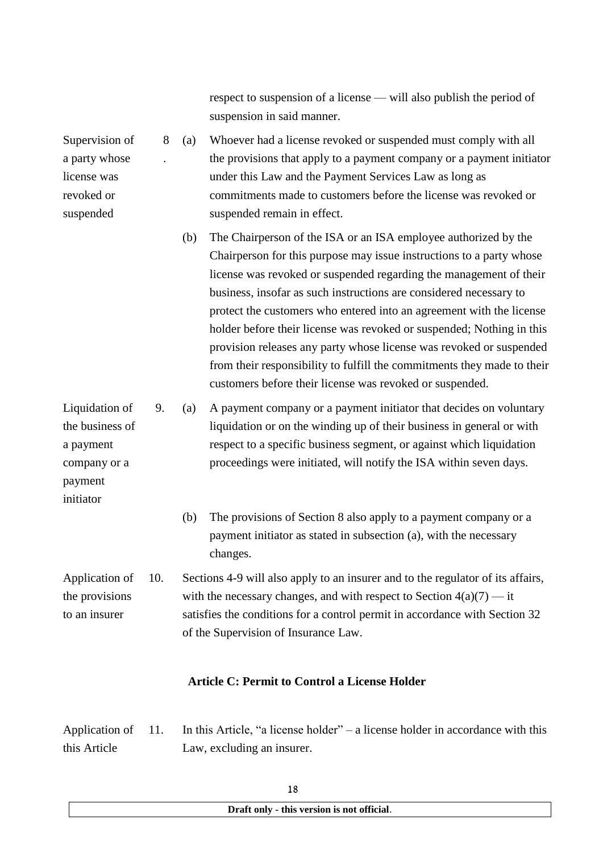respect to suspension of a license — will also publish the period of suspension in said manner.

8 . (a) Whoever had a license revoked or suspended must comply with all the provisions that apply to a payment company or a payment initiator under this Law and the Payment Services Law as long as commitments made to customers before the license was revoked or suspended remain in effect.

Supervision of a party whose license was revoked or suspended

payment initiator

(b) The Chairperson of the ISA or an ISA employee authorized by the Chairperson for this purpose may issue instructions to a party whose license was revoked or suspended regarding the management of their business, insofar as such instructions are considered necessary to protect the customers who entered into an agreement with the license holder before their license was revoked or suspended; Nothing in this provision releases any party whose license was revoked or suspended from their responsibility to fulfill the commitments they made to their customers before their license was revoked or suspended.

Liquidation of the business of a payment company or a 9. (a) A payment company or a payment initiator that decides on voluntary liquidation or on the winding up of their business in general or with respect to a specific business segment, or against which liquidation proceedings were initiated, will notify the ISA within seven days.

> (b) The provisions of Section 8 also apply to a payment company or a payment initiator as stated in subsection (a), with the necessary changes.

Application of the provisions to an insurer 10. Sections 4-9 will also apply to an insurer and to the regulator of its affairs, with the necessary changes, and with respect to Section  $4(a)(7) - it$ satisfies the conditions for a control permit in accordance with Section 32 of the Supervision of Insurance Law.

## **Article C: Permit to Control a License Holder**

Application of this Article 11. In this Article, "a license holder" – a license holder in accordance with this Law, excluding an insurer.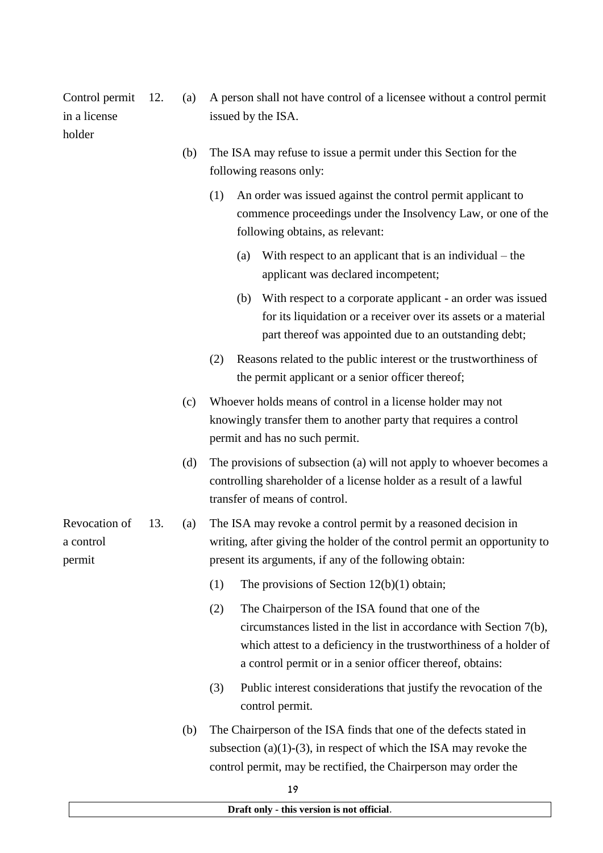in a license holder issued by the ISA. (b) The ISA may refuse to issue a permit under this Section for the following reasons only: (1) An order was issued against the control permit applicant to commence proceedings under the Insolvency Law, or one of the following obtains, as relevant: (a) With respect to an applicant that is an individual – the applicant was declared incompetent; (b) With respect to a corporate applicant - an order was issued for its liquidation or a receiver over its assets or a material part thereof was appointed due to an outstanding debt; (2) Reasons related to the public interest or the trustworthiness of the permit applicant or a senior officer thereof; (c) Whoever holds means of control in a license holder may not knowingly transfer them to another party that requires a control permit and has no such permit. (d) The provisions of subsection (a) will not apply to whoever becomes a controlling shareholder of a license holder as a result of a lawful transfer of means of control. Revocation of a control permit 13. (a) The ISA may revoke a control permit by a reasoned decision in writing, after giving the holder of the control permit an opportunity to present its arguments, if any of the following obtain: (1) The provisions of Section 12(b)(1) obtain; (2) The Chairperson of the ISA found that one of the circumstances listed in the list in accordance with Section 7(b), which attest to a deficiency in the trustworthiness of a holder of a control permit or in a senior officer thereof, obtains: (3) Public interest considerations that justify the revocation of the control permit. (b) The Chairperson of the ISA finds that one of the defects stated in subsection (a)(1)-(3), in respect of which the ISA may revoke the control permit, may be rectified, the Chairperson may order the

12. (a) A person shall not have control of a licensee without a control permit

Control permit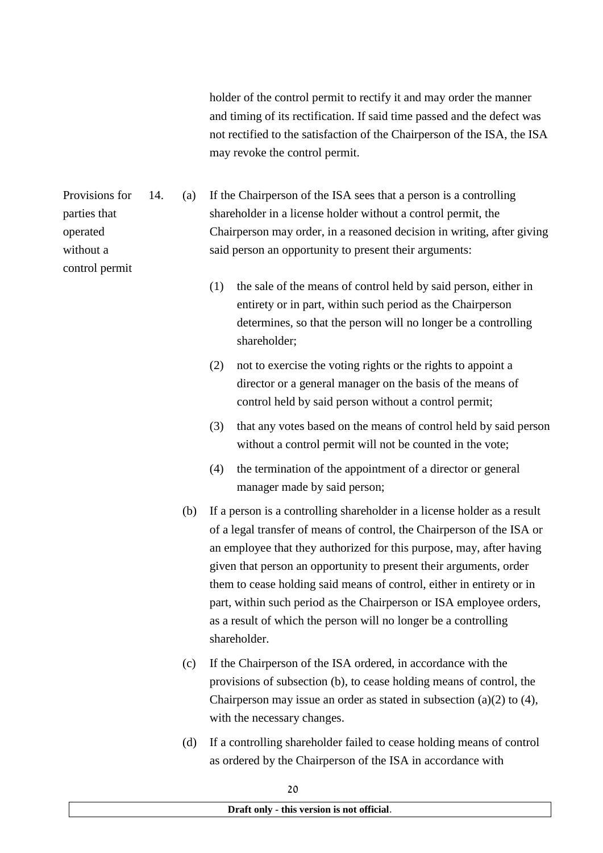holder of the control permit to rectify it and may order the manner and timing of its rectification. If said time passed and the defect was not rectified to the satisfaction of the Chairperson of the ISA, the ISA may revoke the control permit.

Provisions for parties that operated without a 14. (a) If the Chairperson of the ISA sees that a person is a controlling shareholder in a license holder without a control permit, the Chairperson may order, in a reasoned decision in writing, after giving said person an opportunity to present their arguments:

- (1) the sale of the means of control held by said person, either in entirety or in part, within such period as the Chairperson determines, so that the person will no longer be a controlling shareholder;
- (2) not to exercise the voting rights or the rights to appoint a director or a general manager on the basis of the means of control held by said person without a control permit;
- (3) that any votes based on the means of control held by said person without a control permit will not be counted in the vote;
- (4) the termination of the appointment of a director or general manager made by said person;
- (b) If a person is a controlling shareholder in a license holder as a result of a legal transfer of means of control, the Chairperson of the ISA or an employee that they authorized for this purpose, may, after having given that person an opportunity to present their arguments, order them to cease holding said means of control, either in entirety or in part, within such period as the Chairperson or ISA employee orders, as a result of which the person will no longer be a controlling shareholder.
- (c) If the Chairperson of the ISA ordered, in accordance with the provisions of subsection (b), to cease holding means of control, the Chairperson may issue an order as stated in subsection (a)(2) to (4), with the necessary changes.
- (d) If a controlling shareholder failed to cease holding means of control as ordered by the Chairperson of the ISA in accordance with

control permit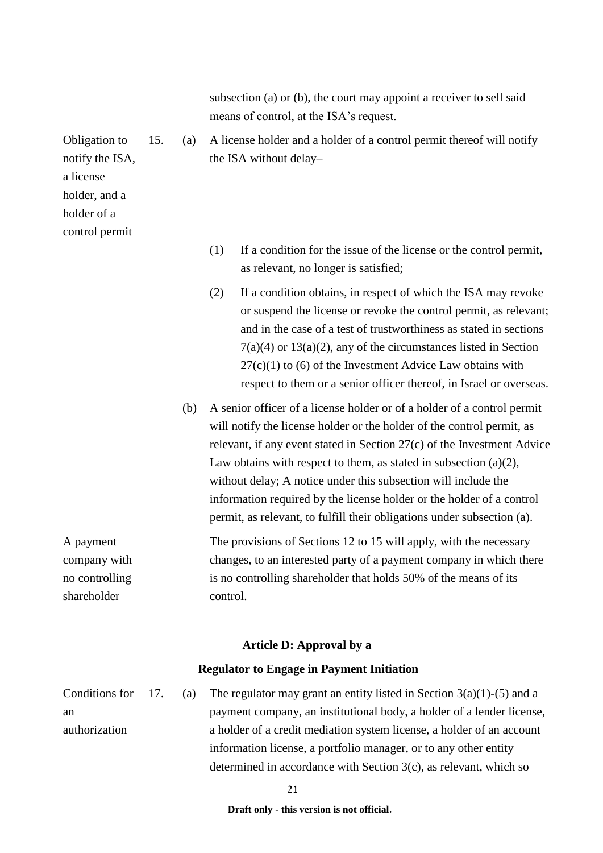subsection (a) or (b), the court may appoint a receiver to sell said means of control, at the ISA's request.

- 15. (a) A license holder and a holder of a control permit thereof will notify the ISA without delay–
	- (1) If a condition for the issue of the license or the control permit, as relevant, no longer is satisfied;
	- (2) If a condition obtains, in respect of which the ISA may revoke or suspend the license or revoke the control permit, as relevant; and in the case of a test of trustworthiness as stated in sections  $7(a)(4)$  or  $13(a)(2)$ , any of the circumstances listed in Section  $27(c)(1)$  to (6) of the Investment Advice Law obtains with respect to them or a senior officer thereof, in Israel or overseas.
	- (b) A senior officer of a license holder or of a holder of a control permit will notify the license holder or the holder of the control permit, as relevant, if any event stated in Section 27(c) of the Investment Advice Law obtains with respect to them, as stated in subsection (a)(2). without delay; A notice under this subsection will include the information required by the license holder or the holder of a control permit, as relevant, to fulfill their obligations under subsection (a).

A payment company with no controlling shareholder The provisions of Sections 12 to 15 will apply, with the necessary changes, to an interested party of a payment company in which there is no controlling shareholder that holds 50% of the means of its control.

#### **Article D: Approval by a**

#### **Regulator to Engage in Payment Initiation**

Conditions for an authorization 17. (a) The regulator may grant an entity listed in Section  $3(a)(1)-(5)$  and a payment company, an institutional body, a holder of a lender license, a holder of a credit mediation system license, a holder of an account information license, a portfolio manager, or to any other entity determined in accordance with Section 3(c), as relevant, which so

**Draft only - this version is not official**.

Obligation to notify the ISA, a license holder, and a holder of a control permit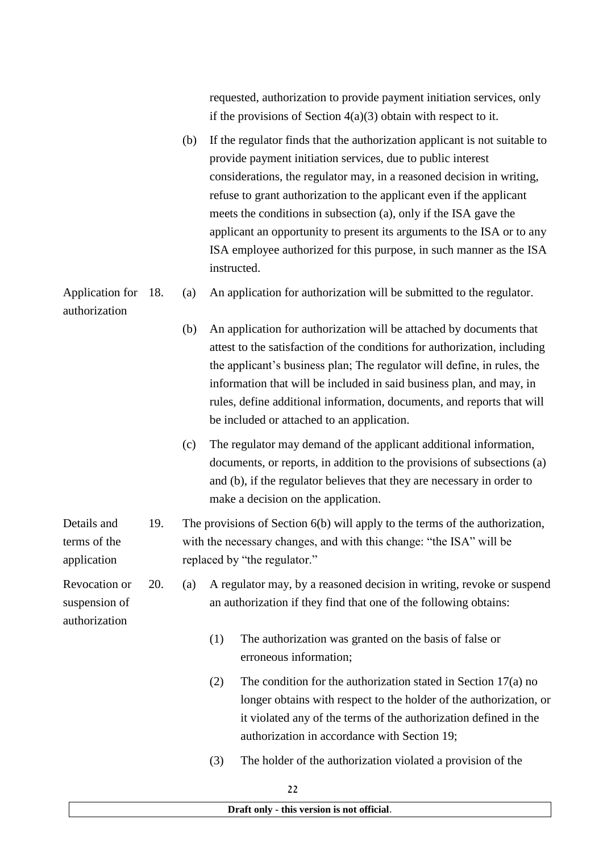| requested, authorization to provide payment initiation services, only |  |
|-----------------------------------------------------------------------|--|
| if the provisions of Section $4(a)(3)$ obtain with respect to it.     |  |

(b) If the regulator finds that the authorization applicant is not suitable to provide payment initiation services, due to public interest considerations, the regulator may, in a reasoned decision in writing, refuse to grant authorization to the applicant even if the applicant meets the conditions in subsection (a), only if the ISA gave the applicant an opportunity to present its arguments to the ISA or to any ISA employee authorized for this purpose, in such manner as the ISA instructed.

Application for 18. authorization (a) An application for authorization will be submitted to the regulator.

- (b) An application for authorization will be attached by documents that attest to the satisfaction of the conditions for authorization, including the applicant's business plan; The regulator will define, in rules, the information that will be included in said business plan, and may, in rules, define additional information, documents, and reports that will be included or attached to an application.
- (c) The regulator may demand of the applicant additional information, documents, or reports, in addition to the provisions of subsections (a) and (b), if the regulator believes that they are necessary in order to make a decision on the application.
- Details and terms of the application 19. The provisions of Section 6(b) will apply to the terms of the authorization, with the necessary changes, and with this change: "the ISA" will be replaced by "the regulator."

Revocation or suspension of authorization

20. (a) A regulator may, by a reasoned decision in writing, revoke or suspend an authorization if they find that one of the following obtains:

- (1) The authorization was granted on the basis of false or erroneous information;
- (2) The condition for the authorization stated in Section 17(a) no longer obtains with respect to the holder of the authorization, or it violated any of the terms of the authorization defined in the authorization in accordance with Section 19;
- (3) The holder of the authorization violated a provision of the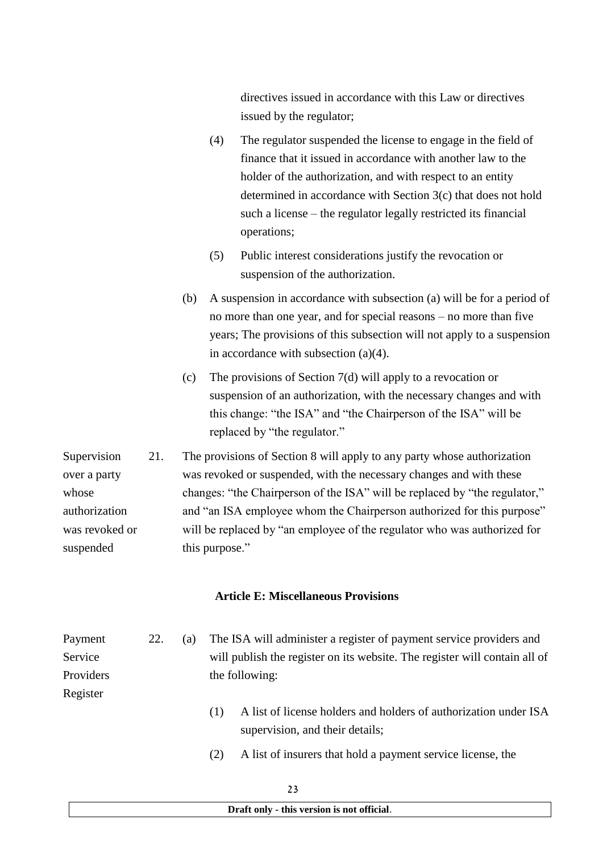directives issued in accordance with this Law or directives issued by the regulator;

- (4) The regulator suspended the license to engage in the field of finance that it issued in accordance with another law to the holder of the authorization, and with respect to an entity determined in accordance with Section 3(c) that does not hold such a license – the regulator legally restricted its financial operations;
- (5) Public interest considerations justify the revocation or suspension of the authorization.
- (b) A suspension in accordance with subsection (a) will be for a period of no more than one year, and for special reasons – no more than five years; The provisions of this subsection will not apply to a suspension in accordance with subsection (a)(4).
- (c) The provisions of Section 7(d) will apply to a revocation or suspension of an authorization, with the necessary changes and with this change: "the ISA" and "the Chairperson of the ISA" will be replaced by "the regulator."

Supervision over a party whose authorization was revoked or suspended 21. The provisions of Section 8 will apply to any party whose authorization was revoked or suspended, with the necessary changes and with these changes: "the Chairperson of the ISA" will be replaced by "the regulator," and "an ISA employee whom the Chairperson authorized for this purpose" will be replaced by "an employee of the regulator who was authorized for this purpose."

### **Article E: Miscellaneous Provisions**

| Payment   | 22. | (a) | The ISA will administer a register of payment service providers and        |
|-----------|-----|-----|----------------------------------------------------------------------------|
| Service   |     |     | will publish the register on its website. The register will contain all of |
| Providers |     |     | the following:                                                             |
| Register  |     |     |                                                                            |

- (1) A list of license holders and holders of authorization under ISA supervision, and their details;
- (2) A list of insurers that hold a payment service license, the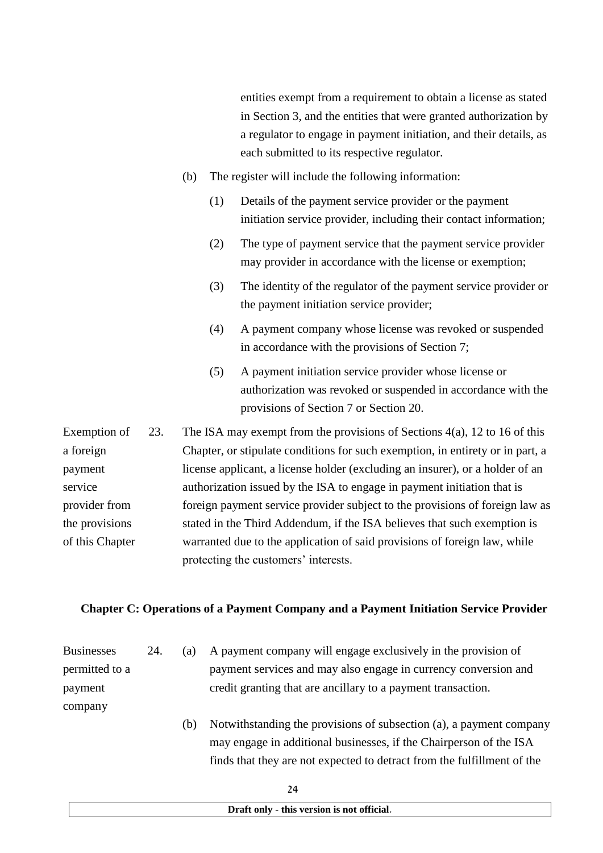entities exempt from a requirement to obtain a license as stated in Section 3, and the entities that were granted authorization by a regulator to engage in payment initiation, and their details, as each submitted to its respective regulator. (b) The register will include the following information: (1) Details of the payment service provider or the payment initiation service provider, including their contact information; (2) The type of payment service that the payment service provider may provider in accordance with the license or exemption; (3) The identity of the regulator of the payment service provider or the payment initiation service provider; (4) A payment company whose license was revoked or suspended in accordance with the provisions of Section 7; (5) A payment initiation service provider whose license or authorization was revoked or suspended in accordance with the provisions of Section 7 or Section 20. Exemption of a foreign payment service provider from 23. The ISA may exempt from the provisions of Sections 4(a), 12 to 16 of this Chapter, or stipulate conditions for such exemption, in entirety or in part, a license applicant, a license holder (excluding an insurer), or a holder of an authorization issued by the ISA to engage in payment initiation that is foreign payment service provider subject to the provisions of foreign law as

the provisions of this Chapter stated in the Third Addendum, if the ISA believes that such exemption is warranted due to the application of said provisions of foreign law, while protecting the customers' interests.

#### **Chapter C: Operations of a Payment Company and a Payment Initiation Service Provider**

| <b>Businesses</b> | 24. | (a) | A payment company will engage exclusively in the provision of           |
|-------------------|-----|-----|-------------------------------------------------------------------------|
| permitted to a    |     |     | payment services and may also engage in currency conversion and         |
| payment           |     |     | credit granting that are ancillary to a payment transaction.            |
| company           |     |     |                                                                         |
|                   |     | (b) | Notwithstanding the provisions of subsection (a), a payment company     |
|                   |     |     | may engage in additional businesses, if the Chairperson of the ISA      |
|                   |     |     | finds that they are not expected to detract from the fulfillment of the |
|                   |     |     |                                                                         |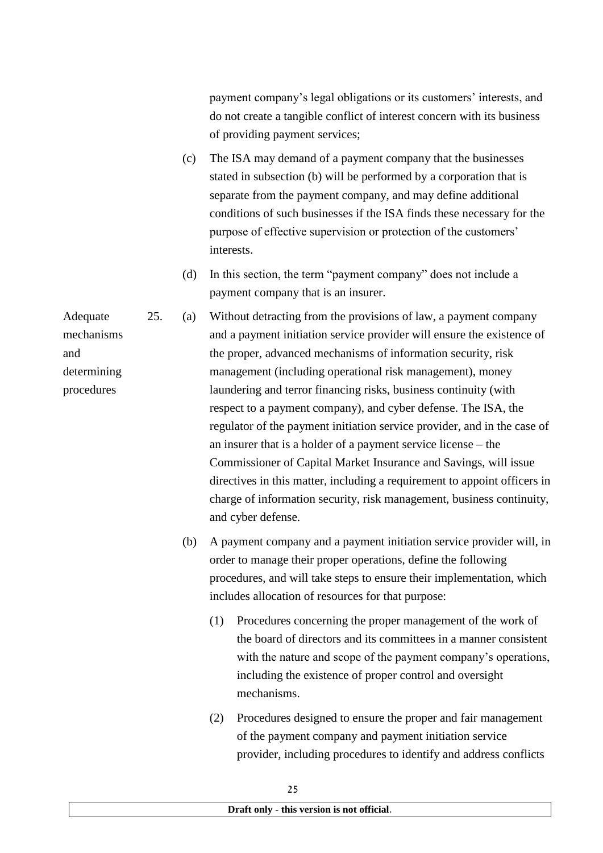payment company's legal obligations or its customers' interests, and do not create a tangible conflict of interest concern with its business of providing payment services;

- (c) The ISA may demand of a payment company that the businesses stated in subsection (b) will be performed by a corporation that is separate from the payment company, and may define additional conditions of such businesses if the ISA finds these necessary for the purpose of effective supervision or protection of the customers' interests.
- (d) In this section, the term "payment company" does not include a payment company that is an insurer.
- Adequate 25. (a) Without detracting from the provisions of law, a payment company and a payment initiation service provider will ensure the existence of the proper, advanced mechanisms of information security, risk management (including operational risk management), money laundering and terror financing risks, business continuity (with respect to a payment company), and cyber defense. The ISA, the regulator of the payment initiation service provider, and in the case of an insurer that is a holder of a payment service license – the Commissioner of Capital Market Insurance and Savings, will issue directives in this matter, including a requirement to appoint officers in charge of information security, risk management, business continuity, and cyber defense.
	- (b) A payment company and a payment initiation service provider will, in order to manage their proper operations, define the following procedures, and will take steps to ensure their implementation, which includes allocation of resources for that purpose:
		- (1) Procedures concerning the proper management of the work of the board of directors and its committees in a manner consistent with the nature and scope of the payment company's operations, including the existence of proper control and oversight mechanisms.
		- (2) Procedures designed to ensure the proper and fair management of the payment company and payment initiation service provider, including procedures to identify and address conflicts

mechanisms and determining procedures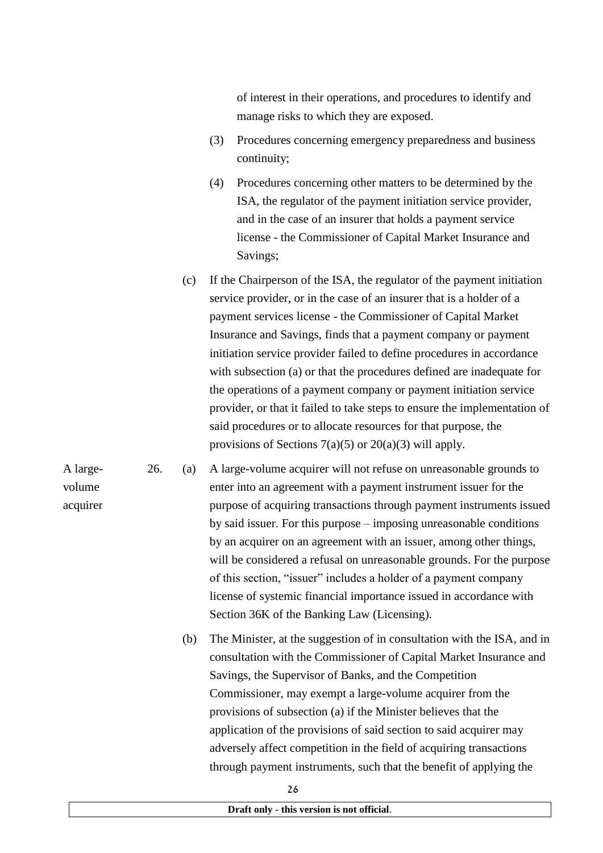of interest in their operations, and procedures to identify and manage risks to which they are exposed.

- (3) Procedures concerning emergency preparedness and business continuity;
- (4) Procedures concerning other matters to be determined by the ISA, the regulator of the payment initiation service provider, and in the case of an insurer that holds a payment service license - the Commissioner of Capital Market Insurance and Savings;
- (c) If the Chairperson of the ISA, the regulator of the payment initiation service provider, or in the case of an insurer that is a holder of a payment services license - the Commissioner of Capital Market Insurance and Savings, finds that a payment company or payment initiation service provider failed to define procedures in accordance with subsection (a) or that the procedures defined are inadequate for the operations of a payment company or payment initiation service provider, or that it failed to take steps to ensure the implementation of said procedures or to allocate resources for that purpose, the provisions of Sections  $7(a)(5)$  or  $20(a)(3)$  will apply.
- 26. (a) A large-volume acquirer will not refuse on unreasonable grounds to enter into an agreement with a payment instrument issuer for the purpose of acquiring transactions through payment instruments issued by said issuer. For this purpose – imposing unreasonable conditions by an acquirer on an agreement with an issuer, among other things, will be considered a refusal on unreasonable grounds. For the purpose of this section, "issuer" includes a holder of a payment company license of systemic financial importance issued in accordance with Section 36K of the Banking Law (Licensing).

A largevolume acquirer

> (b) The Minister, at the suggestion of in consultation with the ISA, and in consultation with the Commissioner of Capital Market Insurance and Savings, the Supervisor of Banks, and the Competition Commissioner, may exempt a large-volume acquirer from the provisions of subsection (a) if the Minister believes that the application of the provisions of said section to said acquirer may adversely affect competition in the field of acquiring transactions through payment instruments, such that the benefit of applying the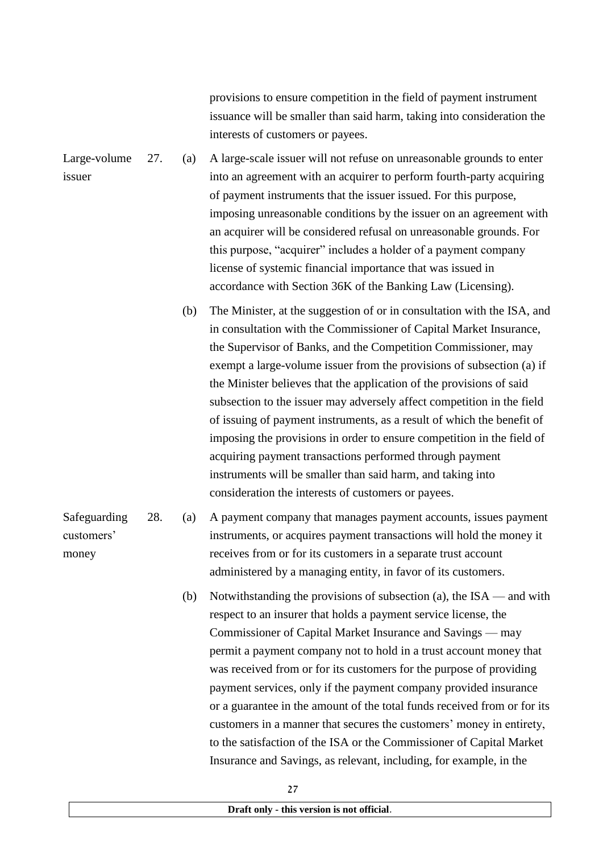provisions to ensure competition in the field of payment instrument issuance will be smaller than said harm, taking into consideration the interests of customers or payees.

Large-volume issuer 27. (a) A large-scale issuer will not refuse on unreasonable grounds to enter into an agreement with an acquirer to perform fourth-party acquiring of payment instruments that the issuer issued. For this purpose, imposing unreasonable conditions by the issuer on an agreement with an acquirer will be considered refusal on unreasonable grounds. For this purpose, "acquirer" includes a holder of a payment company license of systemic financial importance that was issued in accordance with Section 36K of the Banking Law (Licensing).

> (b) The Minister, at the suggestion of or in consultation with the ISA, and in consultation with the Commissioner of Capital Market Insurance, the Supervisor of Banks, and the Competition Commissioner, may exempt a large-volume issuer from the provisions of subsection (a) if the Minister believes that the application of the provisions of said subsection to the issuer may adversely affect competition in the field of issuing of payment instruments, as a result of which the benefit of imposing the provisions in order to ensure competition in the field of acquiring payment transactions performed through payment instruments will be smaller than said harm, and taking into consideration the interests of customers or payees.

Safeguarding customers' money 28. (a) A payment company that manages payment accounts, issues payment instruments, or acquires payment transactions will hold the money it receives from or for its customers in a separate trust account administered by a managing entity, in favor of its customers.

> (b) Notwithstanding the provisions of subsection (a), the ISA — and with respect to an insurer that holds a payment service license, the Commissioner of Capital Market Insurance and Savings — may permit a payment company not to hold in a trust account money that was received from or for its customers for the purpose of providing payment services, only if the payment company provided insurance or a guarantee in the amount of the total funds received from or for its customers in a manner that secures the customers' money in entirety, to the satisfaction of the ISA or the Commissioner of Capital Market Insurance and Savings, as relevant, including, for example, in the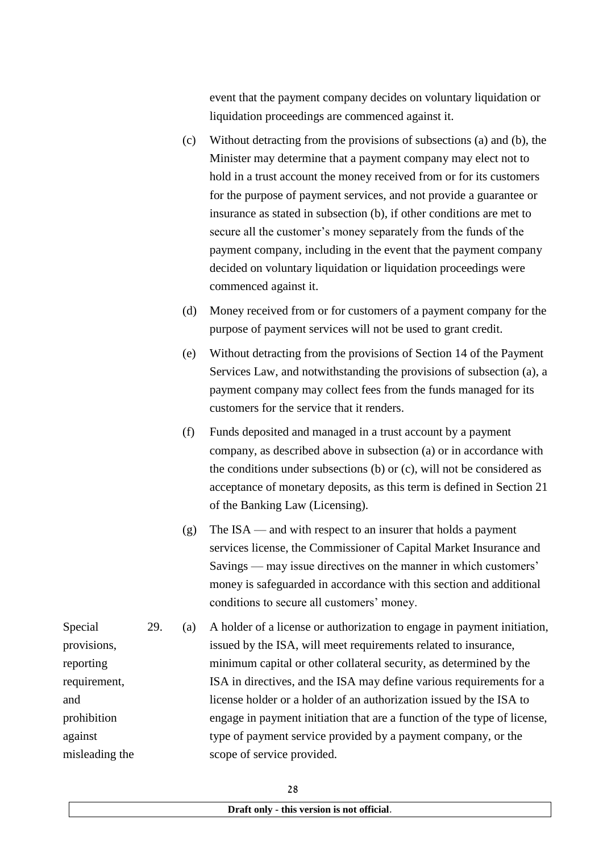event that the payment company decides on voluntary liquidation or liquidation proceedings are commenced against it.

- (c) Without detracting from the provisions of subsections (a) and (b), the Minister may determine that a payment company may elect not to hold in a trust account the money received from or for its customers for the purpose of payment services, and not provide a guarantee or insurance as stated in subsection (b), if other conditions are met to secure all the customer's money separately from the funds of the payment company, including in the event that the payment company decided on voluntary liquidation or liquidation proceedings were commenced against it.
- (d) Money received from or for customers of a payment company for the purpose of payment services will not be used to grant credit.
- (e) Without detracting from the provisions of Section 14 of the Payment Services Law, and notwithstanding the provisions of subsection (a), a payment company may collect fees from the funds managed for its customers for the service that it renders.
- (f) Funds deposited and managed in a trust account by a payment company, as described above in subsection (a) or in accordance with the conditions under subsections (b) or (c), will not be considered as acceptance of monetary deposits, as this term is defined in Section 21 of the Banking Law (Licensing).
- (g) The ISA and with respect to an insurer that holds a payment services license, the Commissioner of Capital Market Insurance and Savings — may issue directives on the manner in which customers' money is safeguarded in accordance with this section and additional conditions to secure all customers' money.

Special provisions, reporting requirement, prohibition against misleading the 29. (a) A holder of a license or authorization to engage in payment initiation, issued by the ISA, will meet requirements related to insurance, minimum capital or other collateral security, as determined by the ISA in directives, and the ISA may define various requirements for a license holder or a holder of an authorization issued by the ISA to engage in payment initiation that are a function of the type of license, type of payment service provided by a payment company, or the scope of service provided.

and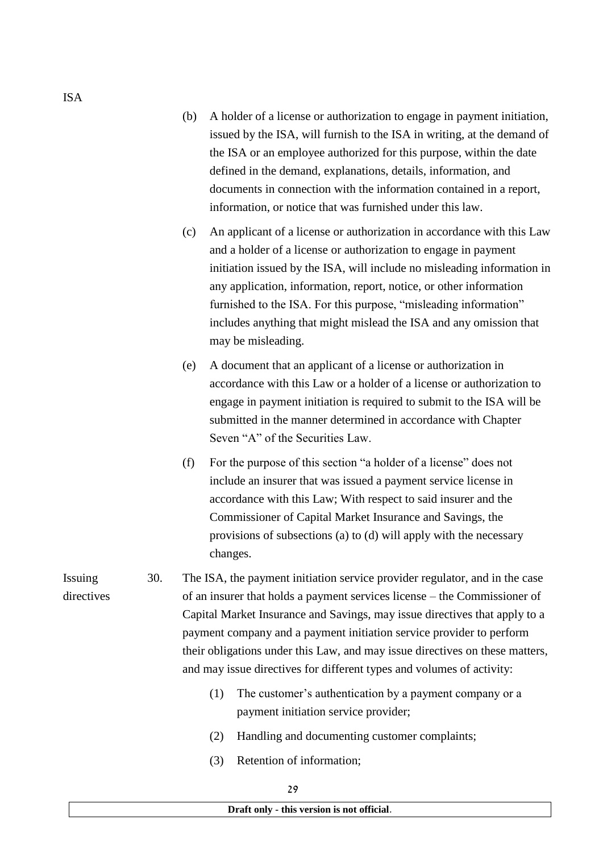- (b) A holder of a license or authorization to engage in payment initiation, issued by the ISA, will furnish to the ISA in writing, at the demand of the ISA or an employee authorized for this purpose, within the date defined in the demand, explanations, details, information, and documents in connection with the information contained in a report, information, or notice that was furnished under this law.
- (c) An applicant of a license or authorization in accordance with this Law and a holder of a license or authorization to engage in payment initiation issued by the ISA, will include no misleading information in any application, information, report, notice, or other information furnished to the ISA. For this purpose, "misleading information" includes anything that might mislead the ISA and any omission that may be misleading.
- (e) A document that an applicant of a license or authorization in accordance with this Law or a holder of a license or authorization to engage in payment initiation is required to submit to the ISA will be submitted in the manner determined in accordance with Chapter Seven "A" of the Securities Law.
- (f) For the purpose of this section "a holder of a license" does not include an insurer that was issued a payment service license in accordance with this Law; With respect to said insurer and the Commissioner of Capital Market Insurance and Savings, the provisions of subsections (a) to (d) will apply with the necessary changes.

Issuing directives 30. The ISA, the payment initiation service provider regulator, and in the case of an insurer that holds a payment services license – the Commissioner of Capital Market Insurance and Savings, may issue directives that apply to a payment company and a payment initiation service provider to perform their obligations under this Law, and may issue directives on these matters, and may issue directives for different types and volumes of activity:

- (1) The customer's authentication by a payment company or a payment initiation service provider;
- (2) Handling and documenting customer complaints;
- (3) Retention of information;

29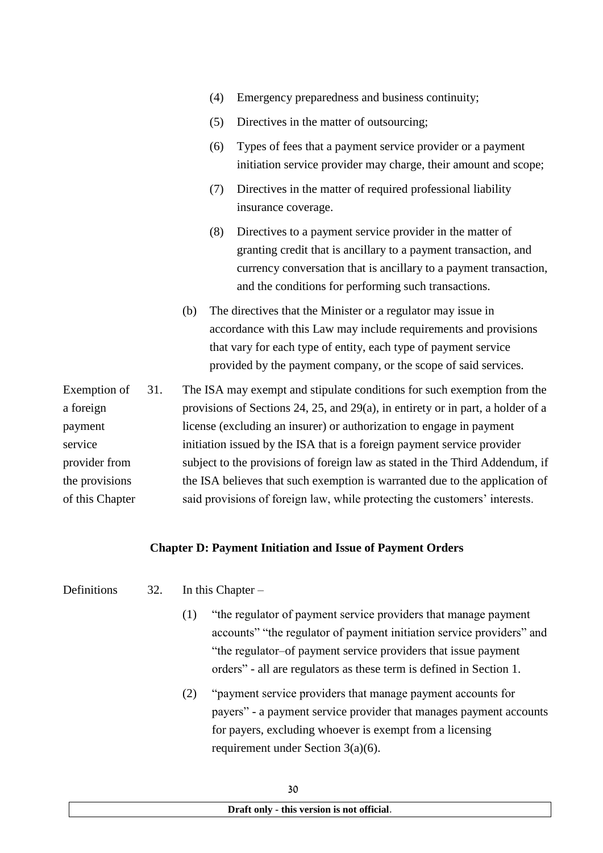- (4) Emergency preparedness and business continuity;
- (5) Directives in the matter of outsourcing;
- (6) Types of fees that a payment service provider or a payment initiation service provider may charge, their amount and scope;
- (7) Directives in the matter of required professional liability insurance coverage.
- (8) Directives to a payment service provider in the matter of granting credit that is ancillary to a payment transaction, and currency conversation that is ancillary to a payment transaction, and the conditions for performing such transactions.
- (b) The directives that the Minister or a regulator may issue in accordance with this Law may include requirements and provisions that vary for each type of entity, each type of payment service provided by the payment company, or the scope of said services.

| Exemption of    | 31. | The ISA may exempt and stipulate conditions for such exemption from the         |
|-----------------|-----|---------------------------------------------------------------------------------|
| a foreign       |     | provisions of Sections 24, 25, and 29(a), in entirety or in part, a holder of a |
| payment         |     | license (excluding an insurer) or authorization to engage in payment            |
| service         |     | initiation issued by the ISA that is a foreign payment service provider         |
| provider from   |     | subject to the provisions of foreign law as stated in the Third Addendum, if    |
| the provisions  |     | the ISA believes that such exemption is warranted due to the application of     |
| of this Chapter |     | said provisions of foreign law, while protecting the customers' interests.      |

#### **Chapter D: Payment Initiation and Issue of Payment Orders**

Definitions 32. In this Chapter –

- - (1) "the regulator of payment service providers that manage payment accounts" "the regulator of payment initiation service providers" and "the regulator–of payment service providers that issue payment orders" - all are regulators as these term is defined in Section 1.
	- (2) "payment service providers that manage payment accounts for payers" - a payment service provider that manages payment accounts for payers, excluding whoever is exempt from a licensing requirement under Section 3(a)(6).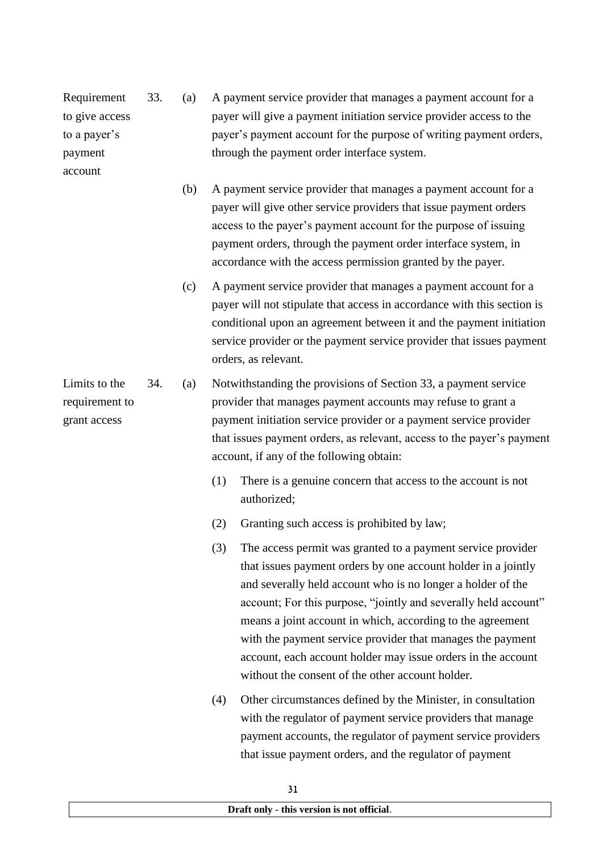Requirement to give access to a payer's payment account

33. (a) A payment service provider that manages a payment account for a payer will give a payment initiation service provider access to the payer's payment account for the purpose of writing payment orders, through the payment order interface system.

- (b) A payment service provider that manages a payment account for a payer will give other service providers that issue payment orders access to the payer's payment account for the purpose of issuing payment orders, through the payment order interface system, in accordance with the access permission granted by the payer.
- (c) A payment service provider that manages a payment account for a payer will not stipulate that access in accordance with this section is conditional upon an agreement between it and the payment initiation service provider or the payment service provider that issues payment orders, as relevant.

Limits to the requirement to grant access 34. (a) Notwithstanding the provisions of Section 33, a payment service provider that manages payment accounts may refuse to grant a payment initiation service provider or a payment service provider that issues payment orders, as relevant, access to the payer's payment account, if any of the following obtain:

- (1) There is a genuine concern that access to the account is not authorized;
- (2) Granting such access is prohibited by law;
- (3) The access permit was granted to a payment service provider that issues payment orders by one account holder in a jointly and severally held account who is no longer a holder of the account; For this purpose, "jointly and severally held account" means a joint account in which, according to the agreement with the payment service provider that manages the payment account, each account holder may issue orders in the account without the consent of the other account holder.
- (4) Other circumstances defined by the Minister, in consultation with the regulator of payment service providers that manage payment accounts, the regulator of payment service providers that issue payment orders, and the regulator of payment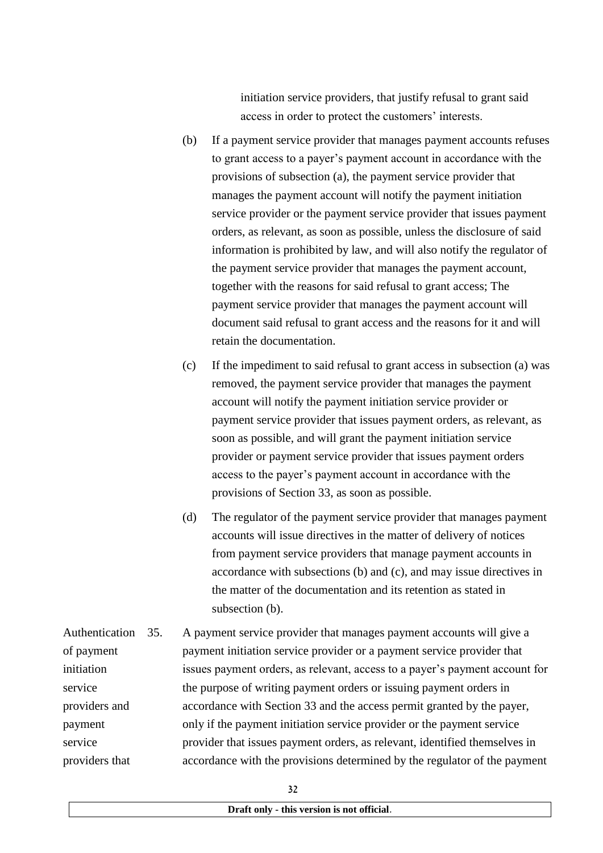initiation service providers, that justify refusal to grant said access in order to protect the customers' interests.

- (b) If a payment service provider that manages payment accounts refuses to grant access to a payer's payment account in accordance with the provisions of subsection (a), the payment service provider that manages the payment account will notify the payment initiation service provider or the payment service provider that issues payment orders, as relevant, as soon as possible, unless the disclosure of said information is prohibited by law, and will also notify the regulator of the payment service provider that manages the payment account, together with the reasons for said refusal to grant access; The payment service provider that manages the payment account will document said refusal to grant access and the reasons for it and will retain the documentation.
- (c) If the impediment to said refusal to grant access in subsection (a) was removed, the payment service provider that manages the payment account will notify the payment initiation service provider or payment service provider that issues payment orders, as relevant, as soon as possible, and will grant the payment initiation service provider or payment service provider that issues payment orders access to the payer's payment account in accordance with the provisions of Section 33, as soon as possible.
- (d) The regulator of the payment service provider that manages payment accounts will issue directives in the matter of delivery of notices from payment service providers that manage payment accounts in accordance with subsections (b) and (c), and may issue directives in the matter of the documentation and its retention as stated in subsection (b).

Authentication 35. of payment initiation service providers and payment service providers that A payment service provider that manages payment accounts will give a payment initiation service provider or a payment service provider that issues payment orders, as relevant, access to a payer's payment account for the purpose of writing payment orders or issuing payment orders in accordance with Section 33 and the access permit granted by the payer, only if the payment initiation service provider or the payment service provider that issues payment orders, as relevant, identified themselves in accordance with the provisions determined by the regulator of the payment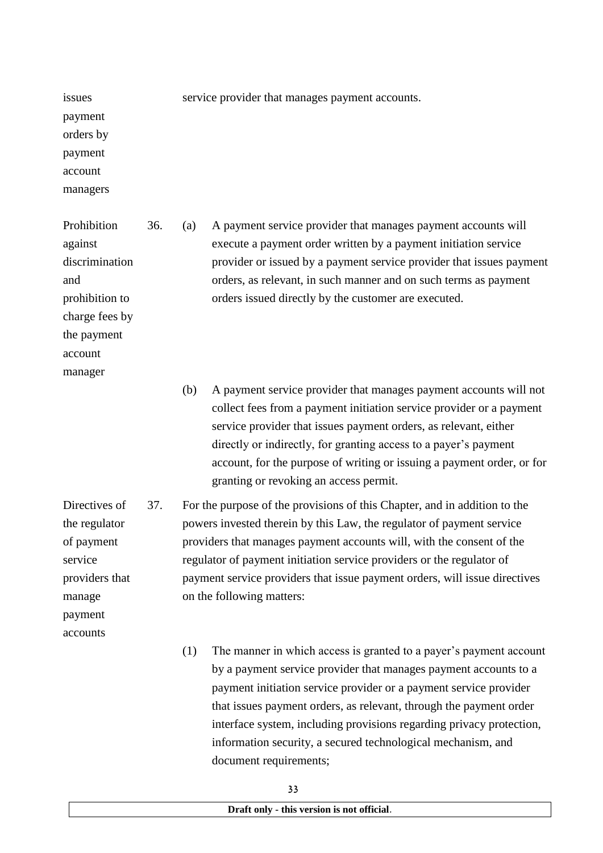issues payment orders by payment account

managers

Prohibition against discrimination and prohibition to charge fees by the payment account manager

payment accounts service provider that manages payment accounts.

36. (a) A payment service provider that manages payment accounts will execute a payment order written by a payment initiation service provider or issued by a payment service provider that issues payment orders, as relevant, in such manner and on such terms as payment orders issued directly by the customer are executed.

(b) A payment service provider that manages payment accounts will not collect fees from a payment initiation service provider or a payment service provider that issues payment orders, as relevant, either directly or indirectly, for granting access to a payer's payment account, for the purpose of writing or issuing a payment order, or for granting or revoking an access permit.

Directives of the regulator of payment service providers that manage 37. For the purpose of the provisions of this Chapter, and in addition to the powers invested therein by this Law, the regulator of payment service providers that manages payment accounts will, with the consent of the regulator of payment initiation service providers or the regulator of payment service providers that issue payment orders, will issue directives on the following matters:

> (1) The manner in which access is granted to a payer's payment account by a payment service provider that manages payment accounts to a payment initiation service provider or a payment service provider that issues payment orders, as relevant, through the payment order interface system, including provisions regarding privacy protection, information security, a secured technological mechanism, and document requirements: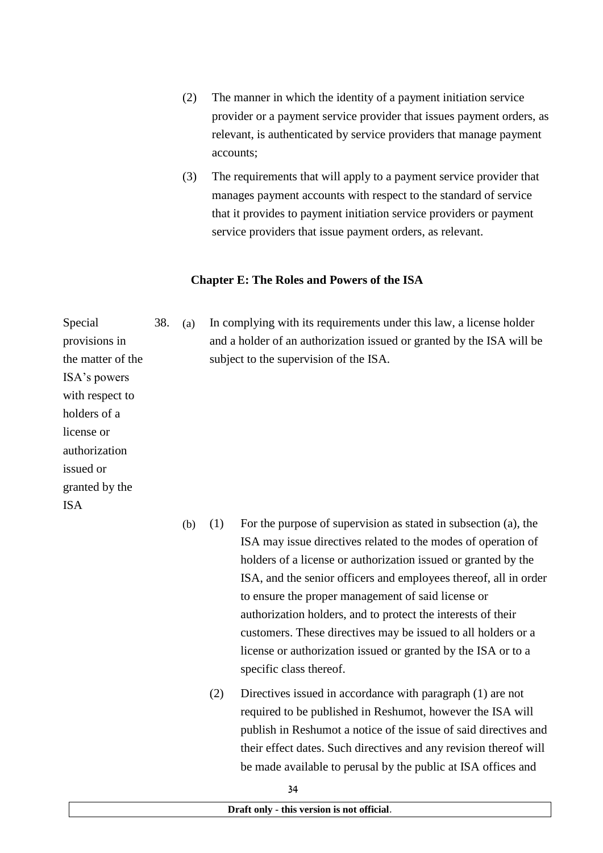- (2) The manner in which the identity of a payment initiation service provider or a payment service provider that issues payment orders, as relevant, is authenticated by service providers that manage payment accounts;
- (3) The requirements that will apply to a payment service provider that manages payment accounts with respect to the standard of service that it provides to payment initiation service providers or payment service providers that issue payment orders, as relevant.

## **Chapter E: The Roles and Powers of the ISA**

Special provisions in the matter of the ISA's powers with respect to holders of a license or authorization issued or granted by the ISA

38. (a) In complying with its requirements under this law, a license holder and a holder of an authorization issued or granted by the ISA will be subject to the supervision of the ISA.

- (b) (1) For the purpose of supervision as stated in subsection (a), the ISA may issue directives related to the modes of operation of holders of a license or authorization issued or granted by the ISA, and the senior officers and employees thereof, all in order to ensure the proper management of said license or authorization holders, and to protect the interests of their customers. These directives may be issued to all holders or a license or authorization issued or granted by the ISA or to a specific class thereof.
	- (2) Directives issued in accordance with paragraph (1) are not required to be published in Reshumot, however the ISA will publish in Reshumot a notice of the issue of said directives and their effect dates. Such directives and any revision thereof will be made available to perusal by the public at ISA offices and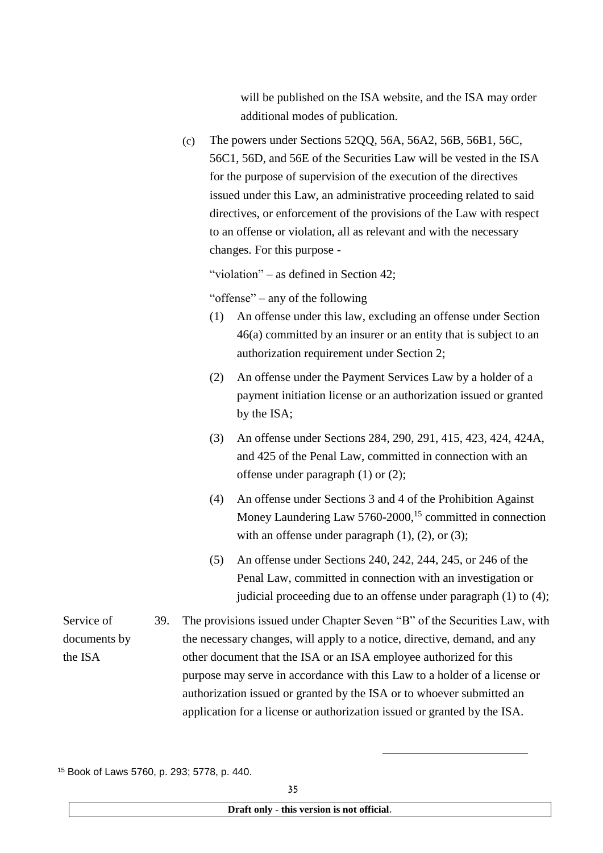will be published on the ISA website, and the ISA may order additional modes of publication.

(c) The powers under Sections 5200, 56A, 56A2, 56B, 56B1, 56C, 56C1, 56D, and 56E of the Securities Law will be vested in the ISA for the purpose of supervision of the execution of the directives issued under this Law, an administrative proceeding related to said directives, or enforcement of the provisions of the Law with respect to an offense or violation, all as relevant and with the necessary changes. For this purpose -

"violation" – as defined in Section 42;

"offense" – any of the following

- (1) An offense under this law, excluding an offense under Section 46(a) committed by an insurer or an entity that is subject to an authorization requirement under Section 2;
- (2) An offense under the Payment Services Law by a holder of a payment initiation license or an authorization issued or granted by the ISA;
- (3) An offense under Sections 284, 290, 291, 415, 423, 424, 424A, and 425 of the Penal Law, committed in connection with an offense under paragraph (1) or (2);
- (4) An offense under Sections 3 and 4 of the Prohibition Against Money Laundering Law 5760-2000,<sup>15</sup> committed in connection with an offense under paragraph  $(1)$ ,  $(2)$ , or  $(3)$ ;
- (5) An offense under Sections 240, 242, 244, 245, or 246 of the Penal Law, committed in connection with an investigation or judicial proceeding due to an offense under paragraph (1) to (4);

-

Service of documents by the ISA

39. The provisions issued under Chapter Seven "B" of the Securities Law, with the necessary changes, will apply to a notice, directive, demand, and any other document that the ISA or an ISA employee authorized for this purpose may serve in accordance with this Law to a holder of a license or authorization issued or granted by the ISA or to whoever submitted an application for a license or authorization issued or granted by the ISA.

<sup>15</sup> Book of Laws 5760, p. 293; 5778, p. 440.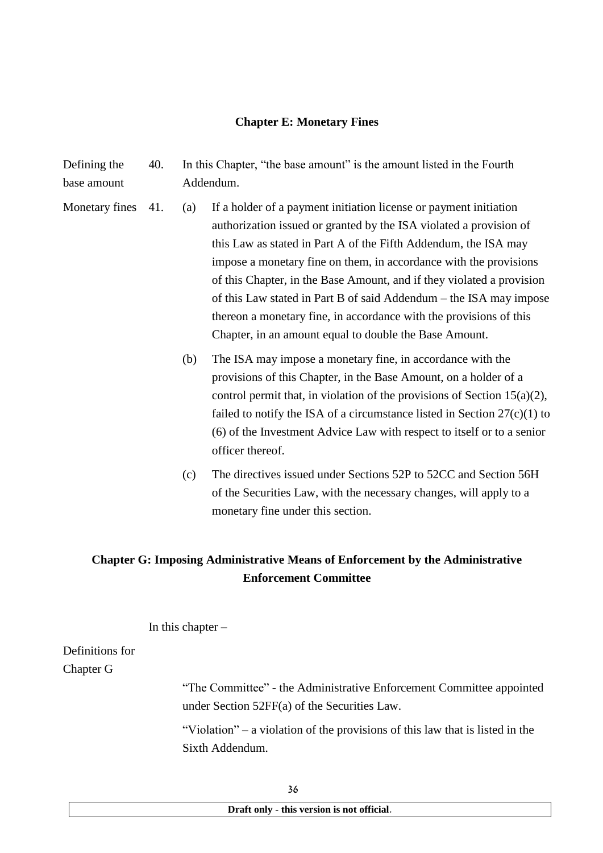#### **Chapter E: Monetary Fines**

Defining the base amount 40. In this Chapter, "the base amount" is the amount listed in the Fourth Addendum.

- Monetary fines 41. (a) If a holder of a payment initiation license or payment initiation authorization issued or granted by the ISA violated a provision of this Law as stated in Part A of the Fifth Addendum, the ISA may impose a monetary fine on them, in accordance with the provisions of this Chapter, in the Base Amount, and if they violated a provision of this Law stated in Part B of said Addendum – the ISA may impose thereon a monetary fine, in accordance with the provisions of this Chapter, in an amount equal to double the Base Amount.
	- (b) The ISA may impose a monetary fine, in accordance with the provisions of this Chapter, in the Base Amount, on a holder of a control permit that, in violation of the provisions of Section 15(a)(2), failed to notify the ISA of a circumstance listed in Section  $27(c)(1)$  to (6) of the Investment Advice Law with respect to itself or to a senior officer thereof.
	- (c) The directives issued under Sections 52P to 52CC and Section 56H of the Securities Law, with the necessary changes, will apply to a monetary fine under this section.

## **Chapter G: Imposing Administrative Means of Enforcement by the Administrative Enforcement Committee**

In this chapter  $-$ 

## Definitions for Chapter G

"The Committee" - the Administrative Enforcement Committee appointed under Section 52FF(a) of the Securities Law.

"Violation" – a violation of the provisions of this law that is listed in the Sixth Addendum.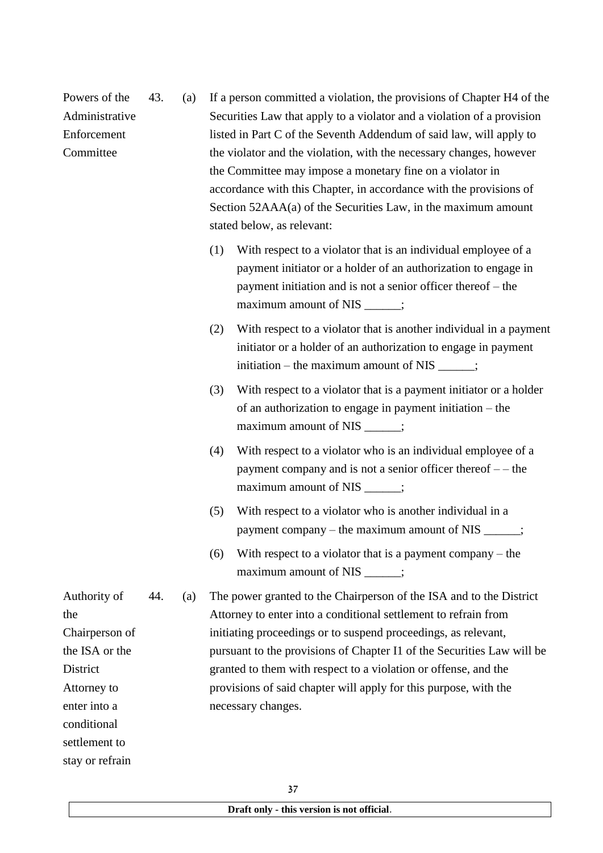|     |     | stated below, as relevant:                                                                                                                                                                                                                                                                                                                                                                                                                      |
|-----|-----|-------------------------------------------------------------------------------------------------------------------------------------------------------------------------------------------------------------------------------------------------------------------------------------------------------------------------------------------------------------------------------------------------------------------------------------------------|
|     |     | With respect to a violator that is an individual employee of a<br>(1)<br>payment initiator or a holder of an authorization to engage in<br>payment initiation and is not a senior officer thereof – the<br>maximum amount of NIS _____;                                                                                                                                                                                                         |
|     |     | With respect to a violator that is another individual in a payment<br>(2)<br>initiator or a holder of an authorization to engage in payment<br>initiation – the maximum amount of NIS _____;                                                                                                                                                                                                                                                    |
|     |     | With respect to a violator that is a payment initiator or a holder<br>(3)<br>of an authorization to engage in payment initiation – the<br>maximum amount of NIS _____;                                                                                                                                                                                                                                                                          |
|     |     | With respect to a violator who is an individual employee of a<br>(4)<br>payment company and is not a senior officer thereof - - the<br>maximum amount of NIS _____;                                                                                                                                                                                                                                                                             |
|     |     | With respect to a violator who is another individual in a<br>(5)<br>payment company – the maximum amount of NIS _____;                                                                                                                                                                                                                                                                                                                          |
|     |     | With respect to a violator that is a payment company $-$ the<br>(6)<br>maximum amount of NIS _____;                                                                                                                                                                                                                                                                                                                                             |
| 44. | (a) | The power granted to the Chairperson of the ISA and to the District<br>Attorney to enter into a conditional settlement to refrain from<br>initiating proceedings or to suspend proceedings, as relevant,<br>pursuant to the provisions of Chapter I1 of the Securities Law will be<br>granted to them with respect to a violation or offense, and the<br>provisions of said chapter will apply for this purpose, with the<br>necessary changes. |
|     |     |                                                                                                                                                                                                                                                                                                                                                                                                                                                 |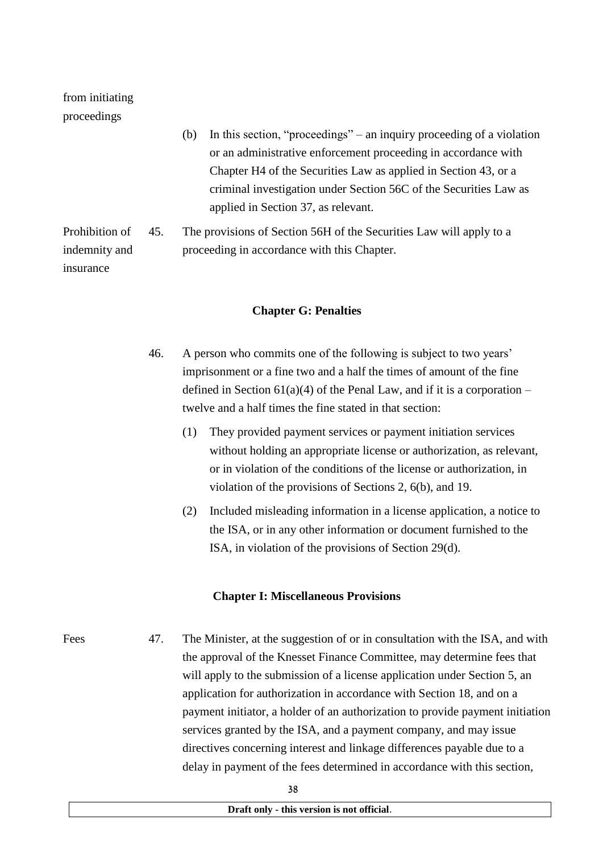## from initiating proceedings

|                |     | In this section, "proceedings" – an inquiry proceeding of a violation<br>(b) |
|----------------|-----|------------------------------------------------------------------------------|
|                |     | or an administrative enforcement proceeding in accordance with               |
|                |     | Chapter H <sub>4</sub> of the Securities Law as applied in Section 43, or a  |
|                |     | criminal investigation under Section 56C of the Securities Law as            |
|                |     | applied in Section 37, as relevant.                                          |
| Prohibition of | 45. | The provisions of Section 56H of the Securities Law will apply to a          |
| indemnity and  |     | proceeding in accordance with this Chapter.                                  |
| insurance      |     |                                                                              |

## **Chapter G: Penalties**

- 46. A person who commits one of the following is subject to two years' imprisonment or a fine two and a half the times of amount of the fine defined in Section  $61(a)(4)$  of the Penal Law, and if it is a corporation – twelve and a half times the fine stated in that section:
	- (1) They provided payment services or payment initiation services without holding an appropriate license or authorization, as relevant, or in violation of the conditions of the license or authorization, in violation of the provisions of Sections 2, 6(b), and 19.
	- (2) Included misleading information in a license application, a notice to the ISA, or in any other information or document furnished to the ISA, in violation of the provisions of Section 29(d).

#### **Chapter I: Miscellaneous Provisions**

Fees 47. The Minister, at the suggestion of or in consultation with the ISA, and with the approval of the Knesset Finance Committee, may determine fees that will apply to the submission of a license application under Section 5, an application for authorization in accordance with Section 18, and on a payment initiator, a holder of an authorization to provide payment initiation services granted by the ISA, and a payment company, and may issue directives concerning interest and linkage differences payable due to a delay in payment of the fees determined in accordance with this section,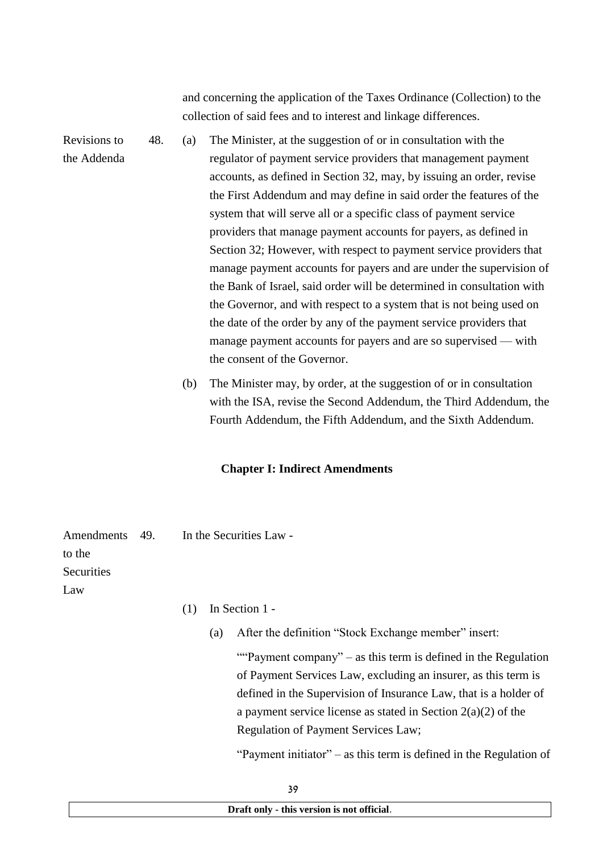and concerning the application of the Taxes Ordinance (Collection) to the collection of said fees and to interest and linkage differences.

Revisions to the Addenda 48. (a) The Minister, at the suggestion of or in consultation with the regulator of payment service providers that management payment accounts, as defined in Section 32, may, by issuing an order, revise the First Addendum and may define in said order the features of the system that will serve all or a specific class of payment service providers that manage payment accounts for payers, as defined in Section 32; However, with respect to payment service providers that manage payment accounts for payers and are under the supervision of the Bank of Israel, said order will be determined in consultation with the Governor, and with respect to a system that is not being used on the date of the order by any of the payment service providers that manage payment accounts for payers and are so supervised — with the consent of the Governor.

> (b) The Minister may, by order, at the suggestion of or in consultation with the ISA, revise the Second Addendum, the Third Addendum, the Fourth Addendum, the Fifth Addendum, and the Sixth Addendum.

### **Chapter I: Indirect Amendments**

Amendments 49 to the **Securities** Law In the Securities Law - $(1)$  In Section 1 -(a) After the definition "Stock Exchange member" insert: ""Payment company" – as this term is defined in the Regulation" of Payment Services Law, excluding an insurer, as this term is defined in the Supervision of Insurance Law, that is a holder of a payment service license as stated in Section  $2(a)(2)$  of the

Regulation of Payment Services Law;

"Payment initiator" – as this term is defined in the Regulation of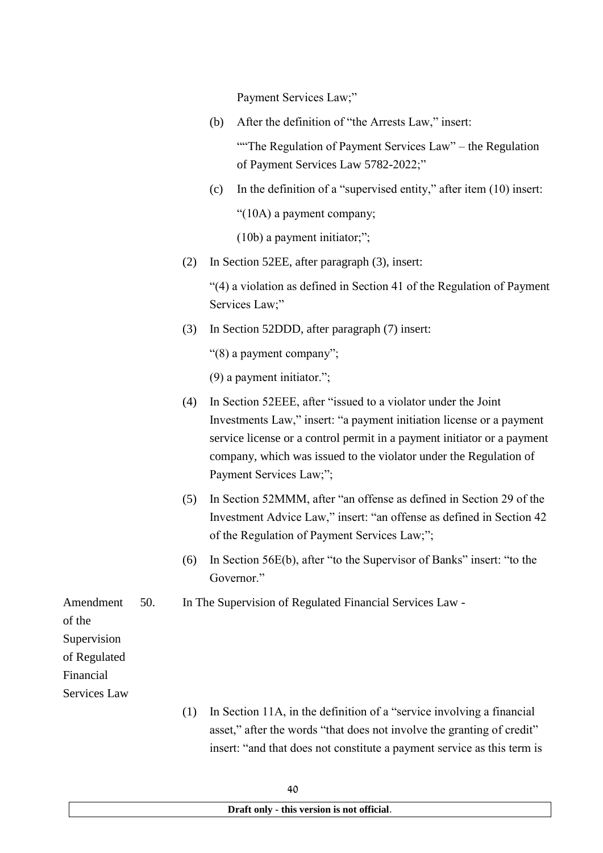Payment Services Law;"

(b) After the definition of "the Arrests Law," insert:

"The Regulation of Payment Services Law" – the Regulation of Payment Services Law 5782-2022;"

(c) In the definition of a "supervised entity," after item (10) insert:

"(10A) a payment company;

(10b) a payment initiator;";

(2) In Section 52EE, after paragraph (3), insert:

"(4) a violation as defined in Section 41 of the Regulation of Payment Services Law;"

(3) In Section 52DDD, after paragraph (7) insert:

"(8) a payment company";

(9) a payment initiator.";

- (4) In Section 52EEE, after "issued to a violator under the Joint Investments Law," insert: "a payment initiation license or a payment service license or a control permit in a payment initiator or a payment company, which was issued to the violator under the Regulation of Payment Services Law;";
- (5) In Section 52MMM, after "an offense as defined in Section 29 of the Investment Advice Law," insert: "an offense as defined in Section 42 of the Regulation of Payment Services Law;";
- (6) In Section 56E(b), after "to the Supervisor of Banks" insert: "to the Governor"

50. In The Supervision of Regulated Financial Services Law -

of the Supervision of Regulated Financial Services Law

Amendment

(1) In Section 11A, in the definition of a "service involving a financial asset," after the words "that does not involve the granting of credit" insert: "and that does not constitute a payment service as this term is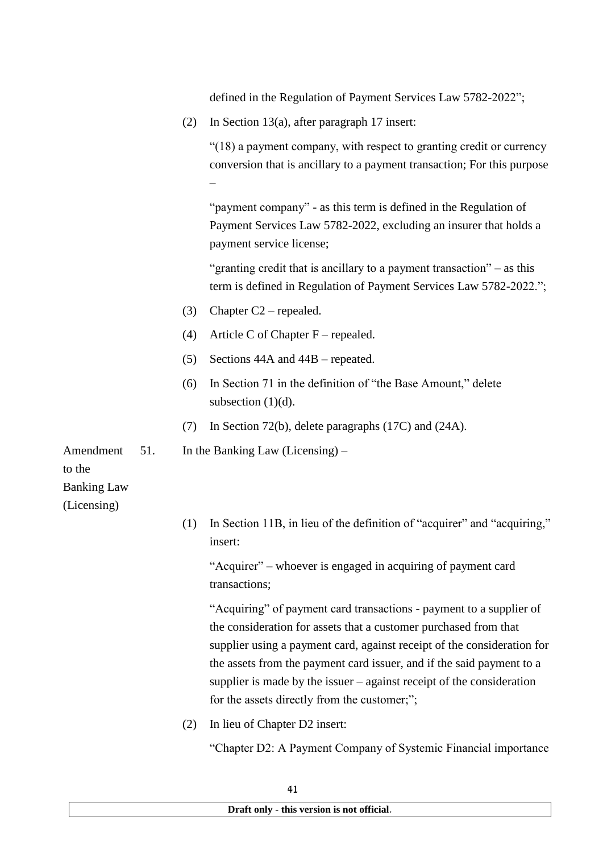defined in the Regulation of Payment Services Law 5782-2022";

(2) In Section 13(a), after paragraph 17 insert:

"(18) a payment company, with respect to granting credit or currency conversion that is ancillary to a payment transaction; For this purpose –

"payment company" - as this term is defined in the Regulation of Payment Services Law 5782-2022, excluding an insurer that holds a payment service license;

"granting credit that is ancillary to a payment transaction" – as this term is defined in Regulation of Payment Services Law 5782-2022.";

- (3) Chapter C2 repealed.
- (4) Article C of Chapter  $F$  repealed.
- (5) Sections 44A and 44B repeated.
- (6) In Section 71 in the definition of "the Base Amount," delete subsection  $(1)(d)$ .
- (7) In Section 72(b), delete paragraphs (17C) and (24A).

51. In the Banking Law (Licensing) –

to the

Banking Law

Amendment

(Licensing)

(1) In Section 11B, in lieu of the definition of "acquirer" and "acquiring," insert:

"Acquirer" – whoever is engaged in acquiring of payment card transactions;

"Acquiring" of payment card transactions - payment to a supplier of the consideration for assets that a customer purchased from that supplier using a payment card, against receipt of the consideration for the assets from the payment card issuer, and if the said payment to a supplier is made by the issuer – against receipt of the consideration for the assets directly from the customer;";

(2) In lieu of Chapter D2 insert:

"Chapter D2: A Payment Company of Systemic Financial importance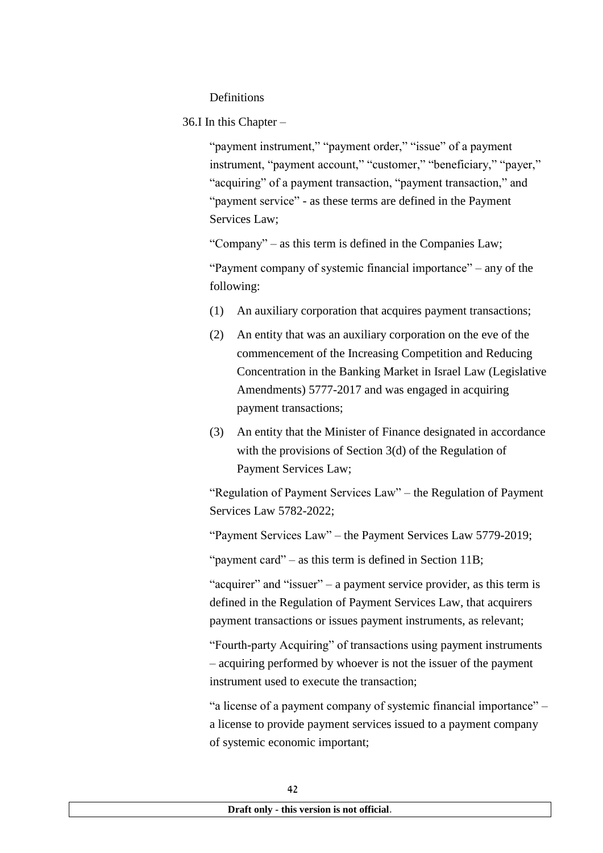## **Definitions**

36.I In this Chapter –

"payment instrument," "payment order," "issue" of a payment instrument, "payment account," "customer," "beneficiary," "payer," "acquiring" of a payment transaction, "payment transaction," and "payment service" - as these terms are defined in the Payment Services Law;

"Company" – as this term is defined in the Companies Law;

"Payment company of systemic financial importance" – any of the following:

- (1) An auxiliary corporation that acquires payment transactions;
- (2) An entity that was an auxiliary corporation on the eve of the commencement of the Increasing Competition and Reducing Concentration in the Banking Market in Israel Law (Legislative Amendments) 5777-2017 and was engaged in acquiring payment transactions;
- (3) An entity that the Minister of Finance designated in accordance with the provisions of Section 3(d) of the Regulation of Payment Services Law;

"Regulation of Payment Services Law" – the Regulation of Payment Services Law 5782-2022;

"Payment Services Law" – the Payment Services Law 5779-2019;

"payment card" – as this term is defined in Section 11B;

"acquirer" and "issuer" – a payment service provider, as this term is defined in the Regulation of Payment Services Law, that acquirers payment transactions or issues payment instruments, as relevant;

"Fourth-party Acquiring" of transactions using payment instruments – acquiring performed by whoever is not the issuer of the payment instrument used to execute the transaction;

"a license of a payment company of systemic financial importance" – a license to provide payment services issued to a payment company of systemic economic important;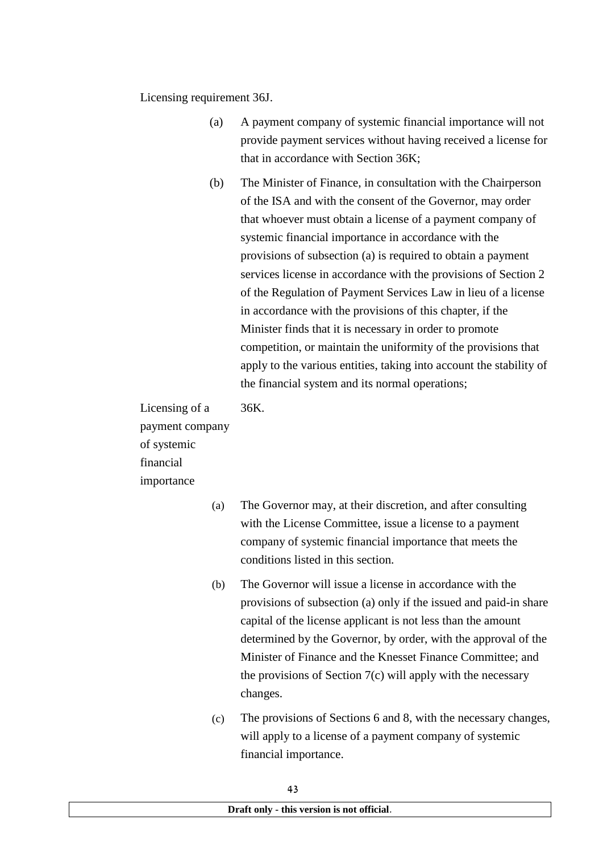Licensing requirement 36J.

- (a) A payment company of systemic financial importance will not provide payment services without having received a license for that in accordance with Section 36K;
- (b) The Minister of Finance, in consultation with the Chairperson of the ISA and with the consent of the Governor, may order that whoever must obtain a license of a payment company of systemic financial importance in accordance with the provisions of subsection (a) is required to obtain a payment services license in accordance with the provisions of Section 2 of the Regulation of Payment Services Law in lieu of a license in accordance with the provisions of this chapter, if the Minister finds that it is necessary in order to promote competition, or maintain the uniformity of the provisions that apply to the various entities, taking into account the stability of the financial system and its normal operations;

Licensing of a payment company of systemic financial importance

36K.

- (a) The Governor may, at their discretion, and after consulting with the License Committee, issue a license to a payment company of systemic financial importance that meets the conditions listed in this section.
- (b) The Governor will issue a license in accordance with the provisions of subsection (a) only if the issued and paid-in share capital of the license applicant is not less than the amount determined by the Governor, by order, with the approval of the Minister of Finance and the Knesset Finance Committee; and the provisions of Section 7(c) will apply with the necessary changes.
- (c) The provisions of Sections 6 and 8, with the necessary changes, will apply to a license of a payment company of systemic financial importance.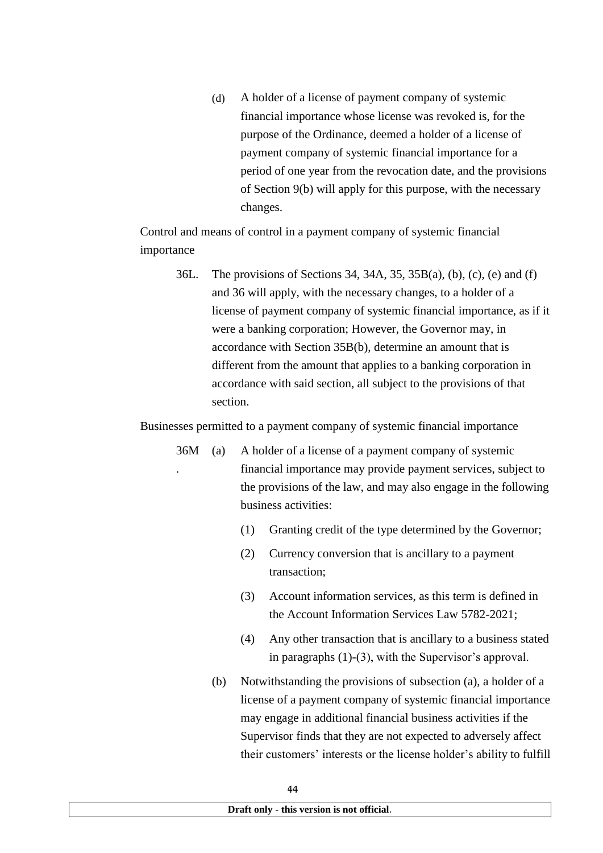(d) A holder of a license of payment company of systemic financial importance whose license was revoked is, for the purpose of the Ordinance, deemed a holder of a license of payment company of systemic financial importance for a period of one year from the revocation date, and the provisions of Section 9(b) will apply for this purpose, with the necessary changes.

Control and means of control in a payment company of systemic financial importance

36L. The provisions of Sections 34, 34A, 35, 35B(a), (b), (c), (e) and (f) and 36 will apply, with the necessary changes, to a holder of a license of payment company of systemic financial importance, as if it were a banking corporation; However, the Governor may, in accordance with Section 35B(b), determine an amount that is different from the amount that applies to a banking corporation in accordance with said section, all subject to the provisions of that section.

Businesses permitted to a payment company of systemic financial importance

- 36M . (a) A holder of a license of a payment company of systemic financial importance may provide payment services, subject to the provisions of the law, and may also engage in the following business activities:
	- (1) Granting credit of the type determined by the Governor;
	- (2) Currency conversion that is ancillary to a payment transaction;
	- (3) Account information services, as this term is defined in the Account Information Services Law 5782-2021;
	- (4) Any other transaction that is ancillary to a business stated in paragraphs (1)-(3), with the Supervisor's approval.
	- (b) Notwithstanding the provisions of subsection (a), a holder of a license of a payment company of systemic financial importance may engage in additional financial business activities if the Supervisor finds that they are not expected to adversely affect their customers' interests or the license holder's ability to fulfill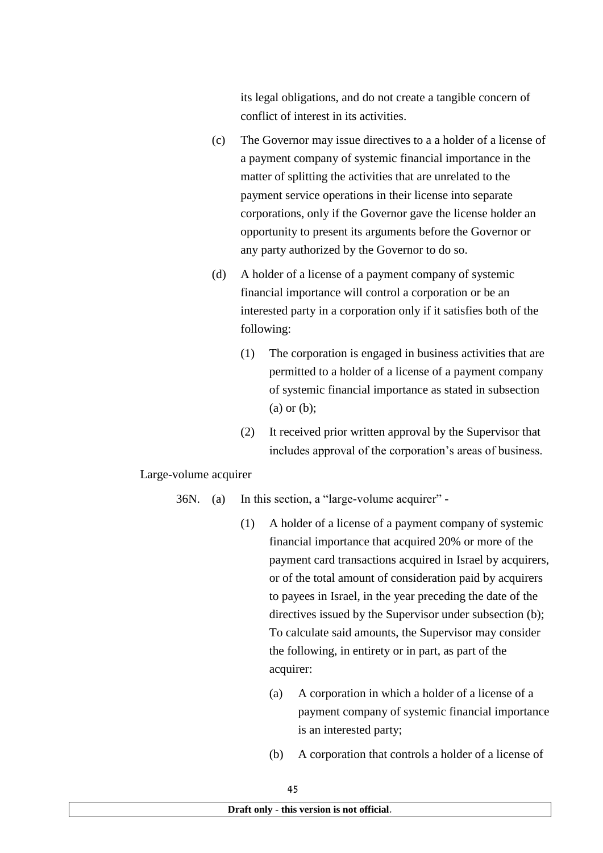its legal obligations, and do not create a tangible concern of conflict of interest in its activities.

- (c) The Governor may issue directives to a a holder of a license of a payment company of systemic financial importance in the matter of splitting the activities that are unrelated to the payment service operations in their license into separate corporations, only if the Governor gave the license holder an opportunity to present its arguments before the Governor or any party authorized by the Governor to do so.
- (d) A holder of a license of a payment company of systemic financial importance will control a corporation or be an interested party in a corporation only if it satisfies both of the following:
	- (1) The corporation is engaged in business activities that are permitted to a holder of a license of a payment company of systemic financial importance as stated in subsection (a) or (b);
	- (2) It received prior written approval by the Supervisor that includes approval of the corporation's areas of business.

Large-volume acquirer

- 36N. (a) In this section, a "large-volume acquirer"
	- (1) A holder of a license of a payment company of systemic financial importance that acquired 20% or more of the payment card transactions acquired in Israel by acquirers, or of the total amount of consideration paid by acquirers to payees in Israel, in the year preceding the date of the directives issued by the Supervisor under subsection (b); To calculate said amounts, the Supervisor may consider the following, in entirety or in part, as part of the acquirer:
		- (a) A corporation in which a holder of a license of a payment company of systemic financial importance is an interested party;
		- (b) A corporation that controls a holder of a license of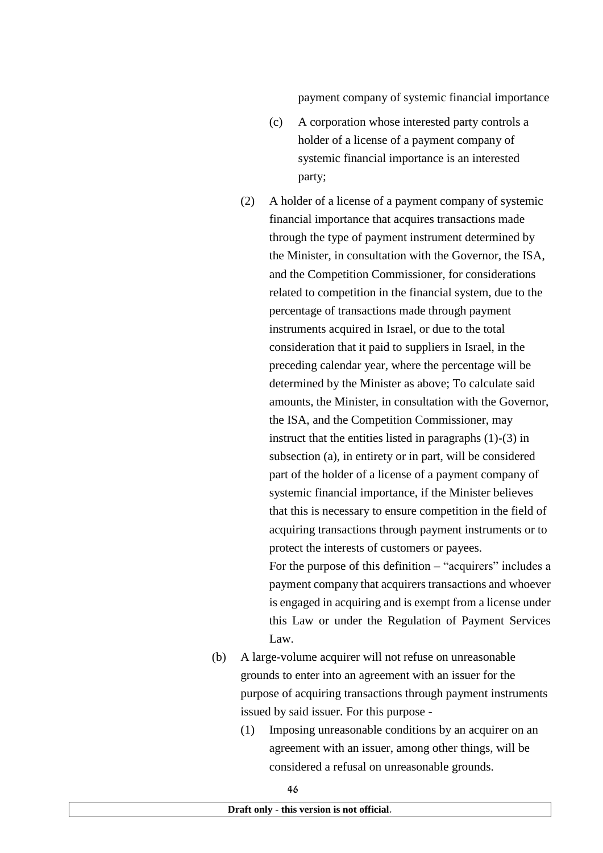payment company of systemic financial importance

- (c) A corporation whose interested party controls a holder of a license of a payment company of systemic financial importance is an interested party;
- (2) A holder of a license of a payment company of systemic financial importance that acquires transactions made through the type of payment instrument determined by the Minister, in consultation with the Governor, the ISA, and the Competition Commissioner, for considerations related to competition in the financial system, due to the percentage of transactions made through payment instruments acquired in Israel, or due to the total consideration that it paid to suppliers in Israel, in the preceding calendar year, where the percentage will be determined by the Minister as above; To calculate said amounts, the Minister, in consultation with the Governor, the ISA, and the Competition Commissioner, may instruct that the entities listed in paragraphs (1)-(3) in subsection (a), in entirety or in part, will be considered part of the holder of a license of a payment company of systemic financial importance, if the Minister believes that this is necessary to ensure competition in the field of acquiring transactions through payment instruments or to protect the interests of customers or payees. For the purpose of this definition – "acquirers" includes a payment company that acquirers transactions and whoever is engaged in acquiring and is exempt from a license under this Law or under the Regulation of Payment Services  $\mathbf{L}$ aw
- (b) A large-volume acquirer will not refuse on unreasonable grounds to enter into an agreement with an issuer for the purpose of acquiring transactions through payment instruments issued by said issuer. For this purpose -
	- (1) Imposing unreasonable conditions by an acquirer on an agreement with an issuer, among other things, will be considered a refusal on unreasonable grounds.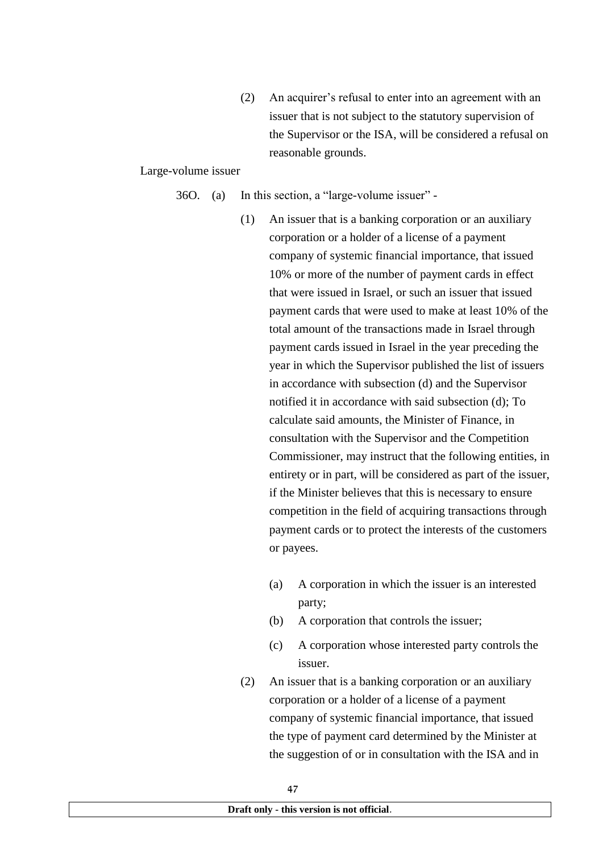(2) An acquirer's refusal to enter into an agreement with an issuer that is not subject to the statutory supervision of the Supervisor or the ISA, will be considered a refusal on reasonable grounds.

#### Large-volume issuer

- 36O. (a) In this section, a "large-volume issuer"
	- (1) An issuer that is a banking corporation or an auxiliary corporation or a holder of a license of a payment company of systemic financial importance, that issued 10% or more of the number of payment cards in effect that were issued in Israel, or such an issuer that issued payment cards that were used to make at least 10% of the total amount of the transactions made in Israel through payment cards issued in Israel in the year preceding the year in which the Supervisor published the list of issuers in accordance with subsection (d) and the Supervisor notified it in accordance with said subsection (d); To calculate said amounts, the Minister of Finance, in consultation with the Supervisor and the Competition Commissioner, may instruct that the following entities, in entirety or in part, will be considered as part of the issuer, if the Minister believes that this is necessary to ensure competition in the field of acquiring transactions through payment cards or to protect the interests of the customers or payees.
		- (a) A corporation in which the issuer is an interested party;
		- (b) A corporation that controls the issuer;
		- (c) A corporation whose interested party controls the issuer.
	- (2) An issuer that is a banking corporation or an auxiliary corporation or a holder of a license of a payment company of systemic financial importance, that issued the type of payment card determined by the Minister at the suggestion of or in consultation with the ISA and in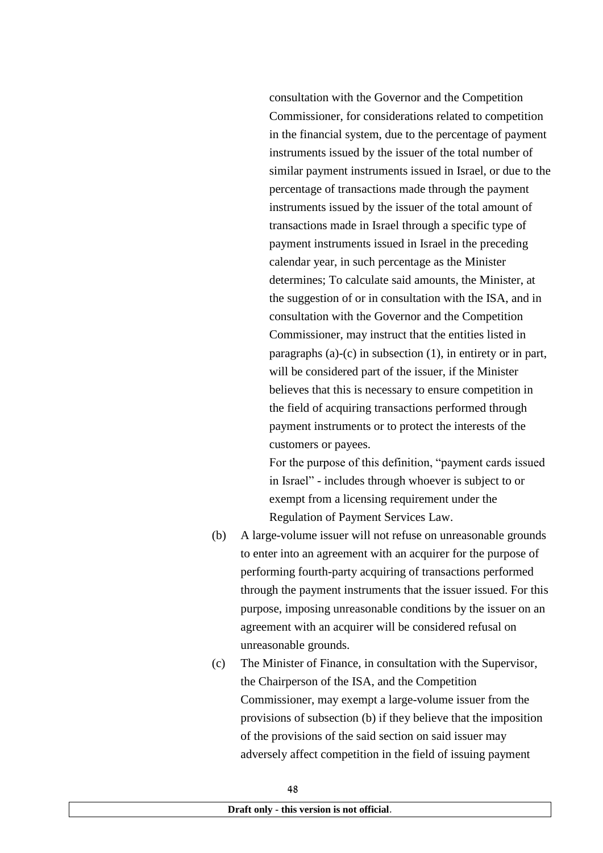consultation with the Governor and the Competition Commissioner, for considerations related to competition in the financial system, due to the percentage of payment instruments issued by the issuer of the total number of similar payment instruments issued in Israel, or due to the percentage of transactions made through the payment instruments issued by the issuer of the total amount of transactions made in Israel through a specific type of payment instruments issued in Israel in the preceding calendar year, in such percentage as the Minister determines; To calculate said amounts, the Minister, at the suggestion of or in consultation with the ISA, and in consultation with the Governor and the Competition Commissioner, may instruct that the entities listed in paragraphs (a)-(c) in subsection (1), in entirety or in part, will be considered part of the issuer, if the Minister believes that this is necessary to ensure competition in the field of acquiring transactions performed through payment instruments or to protect the interests of the customers or payees.

For the purpose of this definition, "payment cards issued in Israel" - includes through whoever is subject to or exempt from a licensing requirement under the Regulation of Payment Services Law.

- (b) A large-volume issuer will not refuse on unreasonable grounds to enter into an agreement with an acquirer for the purpose of performing fourth-party acquiring of transactions performed through the payment instruments that the issuer issued. For this purpose, imposing unreasonable conditions by the issuer on an agreement with an acquirer will be considered refusal on unreasonable grounds.
- (c) The Minister of Finance, in consultation with the Supervisor, the Chairperson of the ISA, and the Competition Commissioner, may exempt a large-volume issuer from the provisions of subsection (b) if they believe that the imposition of the provisions of the said section on said issuer may adversely affect competition in the field of issuing payment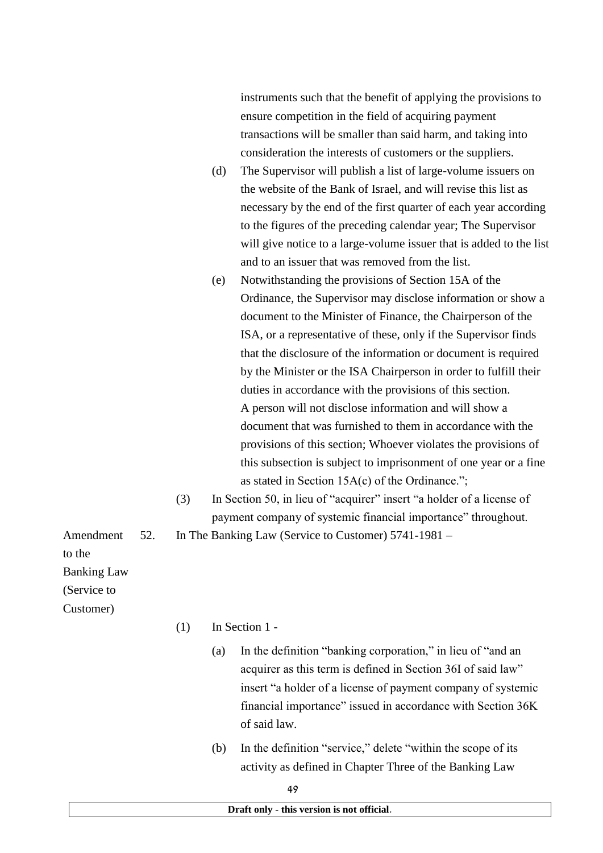instruments such that the benefit of applying the provisions to ensure competition in the field of acquiring payment transactions will be smaller than said harm, and taking into consideration the interests of customers or the suppliers.

- (d) The Supervisor will publish a list of large-volume issuers on the website of the Bank of Israel, and will revise this list as necessary by the end of the first quarter of each year according to the figures of the preceding calendar year; The Supervisor will give notice to a large-volume issuer that is added to the list and to an issuer that was removed from the list.
- (e) Notwithstanding the provisions of Section 15A of the Ordinance, the Supervisor may disclose information or show a document to the Minister of Finance, the Chairperson of the ISA, or a representative of these, only if the Supervisor finds that the disclosure of the information or document is required by the Minister or the ISA Chairperson in order to fulfill their duties in accordance with the provisions of this section. A person will not disclose information and will show a document that was furnished to them in accordance with the provisions of this section; Whoever violates the provisions of this subsection is subject to imprisonment of one year or a fine as stated in Section 15A(c) of the Ordinance.";
- (3) In Section 50, in lieu of "acquirer" insert "a holder of a license of payment company of systemic financial importance" throughout.

52. In The Banking Law (Service to Customer) 5741-1981 –

to the

Banking Law

Amendment

(Service to

- Customer)
- $(1)$  In Section 1 -
	- (a) In the definition "banking corporation," in lieu of "and an acquirer as this term is defined in Section 36I of said law" insert "a holder of a license of payment company of systemic financial importance" issued in accordance with Section 36K of said law.
	- (b) In the definition "service," delete "within the scope of its activity as defined in Chapter Three of the Banking Law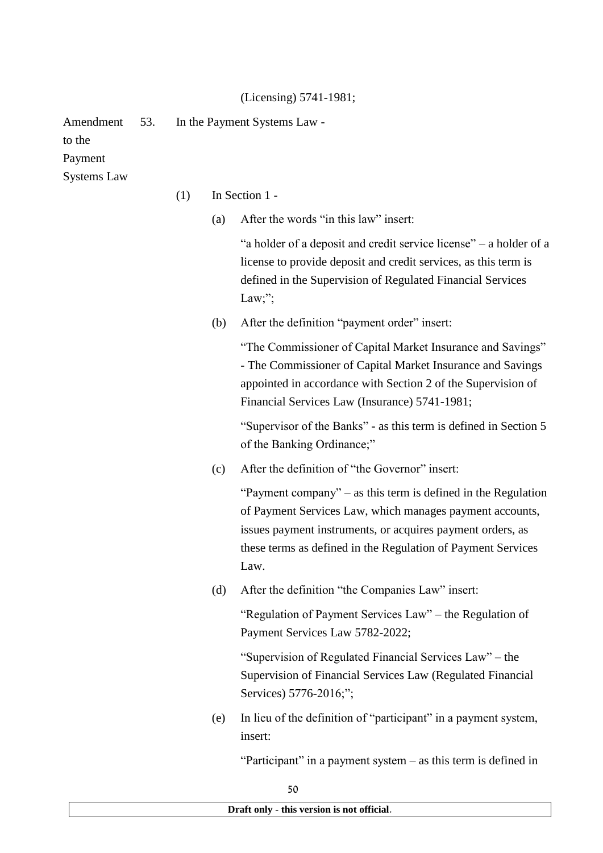## (Licensing) 5741-1981;

Amendment 53. In the Payment Systems Law -

to the

Payment

Systems Law

(1) In Section 1 -

(a) After the words "in this law" insert:

"a holder of a deposit and credit service license" – a holder of a license to provide deposit and credit services, as this term is defined in the Supervision of Regulated Financial Services Law;":

(b) After the definition "payment order" insert:

"The Commissioner of Capital Market Insurance and Savings" - The Commissioner of Capital Market Insurance and Savings appointed in accordance with Section 2 of the Supervision of Financial Services Law (Insurance) 5741-1981;

"Supervisor of the Banks" - as this term is defined in Section 5 of the Banking Ordinance;"

(c) After the definition of "the Governor" insert:

"Payment company" – as this term is defined in the Regulation of Payment Services Law, which manages payment accounts, issues payment instruments, or acquires payment orders, as these terms as defined in the Regulation of Payment Services Law.

(d) After the definition "the Companies Law" insert:

"Regulation of Payment Services Law" – the Regulation of Payment Services Law 5782-2022;

"Supervision of Regulated Financial Services Law" – the Supervision of Financial Services Law (Regulated Financial Services) 5776-2016;";

(e) In lieu of the definition of "participant" in a payment system, insert:

"Participant" in a payment system – as this term is defined in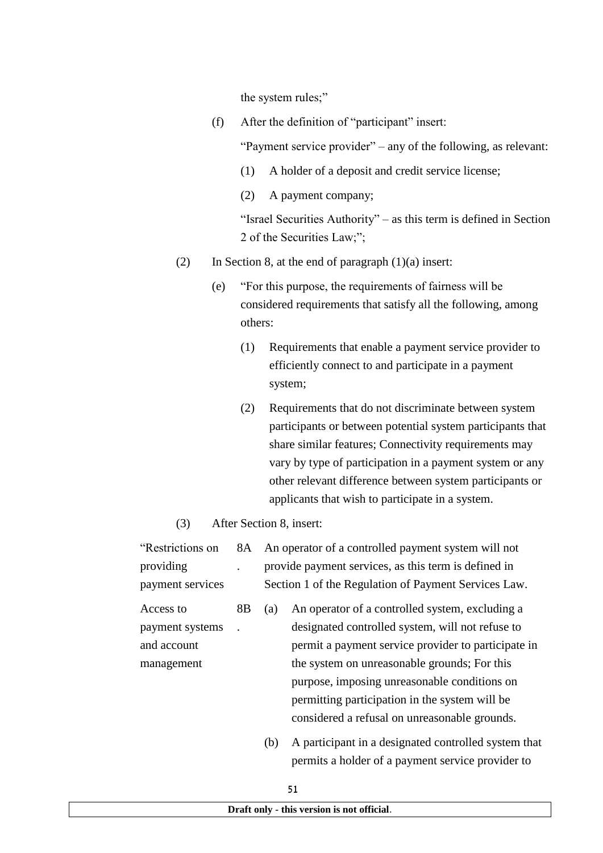the system rules;"

(f) After the definition of "participant" insert:

"Payment service provider" – any of the following, as relevant:

- (1) A holder of a deposit and credit service license;
- (2) A payment company;

"Israel Securities Authority" – as this term is defined in Section 2 of the Securities Law;";

- (2) In Section 8, at the end of paragraph  $(1)(a)$  insert:
	- (e) "For this purpose, the requirements of fairness will be considered requirements that satisfy all the following, among others:
		- (1) Requirements that enable a payment service provider to efficiently connect to and participate in a payment system;
		- (2) Requirements that do not discriminate between system participants or between potential system participants that share similar features; Connectivity requirements may vary by type of participation in a payment system or any other relevant difference between system participants or applicants that wish to participate in a system.
- (3) After Section 8, insert:

| "Restrictions on | 8A |     | An operator of a controlled payment system will not  |
|------------------|----|-----|------------------------------------------------------|
| providing        |    |     | provide payment services, as this term is defined in |
| payment services |    |     | Section 1 of the Regulation of Payment Services Law. |
| Access to        | 8B | (a) | An operator of a controlled system, excluding a      |
| payment systems  |    |     | designated controlled system, will not refuse to     |
| and account      |    |     | permit a payment service provider to participate in  |
| management       |    |     | the system on unreasonable grounds; For this         |
|                  |    |     | purpose, imposing unreasonable conditions on         |
|                  |    |     | permitting participation in the system will be       |

(b) A participant in a designated controlled system that permits a holder of a payment service provider to

considered a refusal on unreasonable grounds.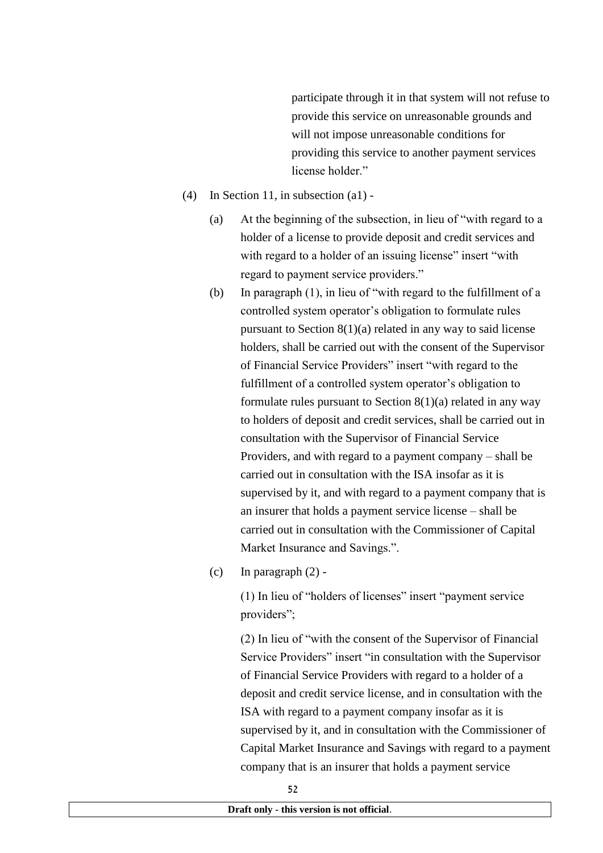participate through it in that system will not refuse to provide this service on unreasonable grounds and will not impose unreasonable conditions for providing this service to another payment services license holder."

- (4) In Section 11, in subsection (a1)
	- (a) At the beginning of the subsection, in lieu of "with regard to a holder of a license to provide deposit and credit services and with regard to a holder of an issuing license" insert "with" regard to payment service providers."
	- (b) In paragraph (1), in lieu of "with regard to the fulfillment of a controlled system operator's obligation to formulate rules pursuant to Section 8(1)(a) related in any way to said license holders, shall be carried out with the consent of the Supervisor of Financial Service Providers" insert "with regard to the fulfillment of a controlled system operator's obligation to formulate rules pursuant to Section  $8(1)(a)$  related in any way to holders of deposit and credit services, shall be carried out in consultation with the Supervisor of Financial Service Providers, and with regard to a payment company – shall be carried out in consultation with the ISA insofar as it is supervised by it, and with regard to a payment company that is an insurer that holds a payment service license – shall be carried out in consultation with the Commissioner of Capital Market Insurance and Savings.".
	- (c) In paragraph  $(2)$  -

(1) In lieu of "holders of licenses" insert "payment service providers";

(2) In lieu of "with the consent of the Supervisor of Financial Service Providers" insert "in consultation with the Supervisor of Financial Service Providers with regard to a holder of a deposit and credit service license, and in consultation with the ISA with regard to a payment company insofar as it is supervised by it, and in consultation with the Commissioner of Capital Market Insurance and Savings with regard to a payment company that is an insurer that holds a payment service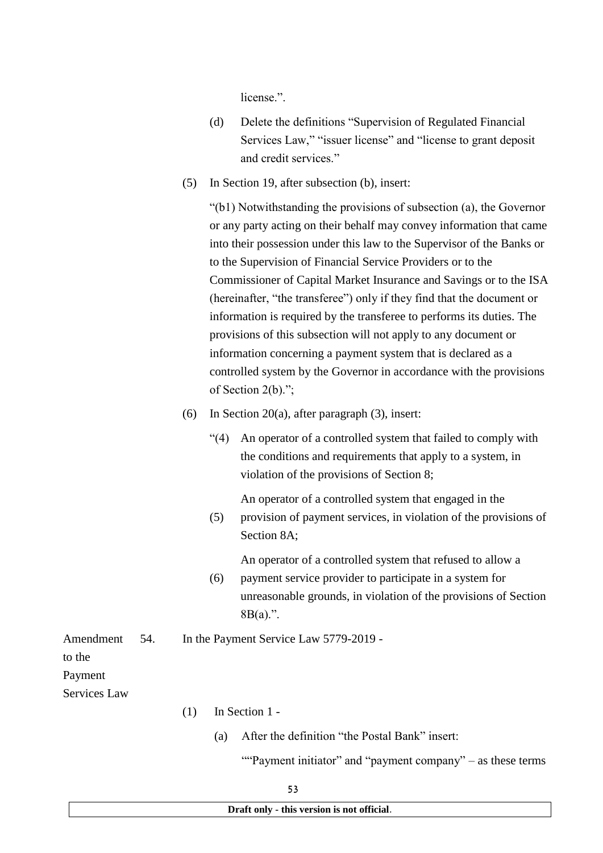license.".

- (d) Delete the definitions "Supervision of Regulated Financial Services Law," "issuer license" and "license to grant deposit and credit services."
- (5) In Section 19, after subsection (b), insert:

"(b1) Notwithstanding the provisions of subsection (a), the Governor or any party acting on their behalf may convey information that came into their possession under this law to the Supervisor of the Banks or to the Supervision of Financial Service Providers or to the Commissioner of Capital Market Insurance and Savings or to the ISA (hereinafter, "the transferee") only if they find that the document or information is required by the transferee to performs its duties. The provisions of this subsection will not apply to any document or information concerning a payment system that is declared as a controlled system by the Governor in accordance with the provisions of Section 2(b).";

- (6) In Section 20(a), after paragraph  $(3)$ , insert:
	- "(4) An operator of a controlled system that failed to comply with the conditions and requirements that apply to a system, in violation of the provisions of Section 8;

An operator of a controlled system that engaged in the

(5) provision of payment services, in violation of the provisions of Section 8A;

An operator of a controlled system that refused to allow a

- (6) payment service provider to participate in a system for unreasonable grounds, in violation of the provisions of Section 8B(a).".
- Amendment 54. In the Payment Service Law 5779-2019 -

to the

Payment

Services Law

- (1) In Section 1
	- (a) After the definition "the Postal Bank" insert:

""Payment initiator" and "payment company" – as these terms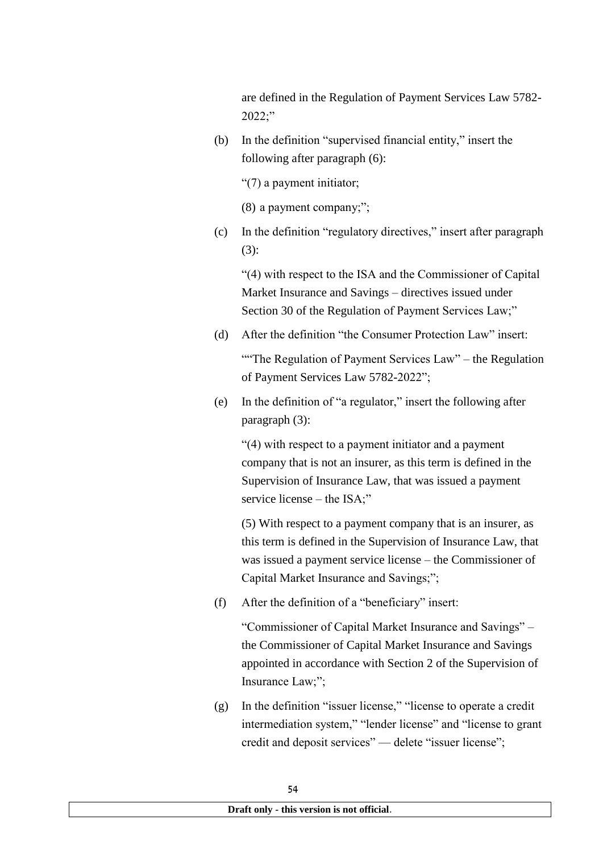are defined in the Regulation of Payment Services Law 5782- 2022;"

(b) In the definition "supervised financial entity," insert the following after paragraph (6):

"(7) a payment initiator;

(8) a payment company;";

(c) In the definition "regulatory directives," insert after paragraph (3):

"(4) with respect to the ISA and the Commissioner of Capital Market Insurance and Savings – directives issued under Section 30 of the Regulation of Payment Services Law;"

(d) After the definition "the Consumer Protection Law" insert:

"The Regulation of Payment Services Law" – the Regulation of Payment Services Law 5782-2022";

(e) In the definition of "a regulator," insert the following after paragraph (3):

"(4) with respect to a payment initiator and a payment company that is not an insurer, as this term is defined in the Supervision of Insurance Law, that was issued a payment service license – the ISA;"

(5) With respect to a payment company that is an insurer, as this term is defined in the Supervision of Insurance Law, that was issued a payment service license – the Commissioner of Capital Market Insurance and Savings;";

(f) After the definition of a "beneficiary" insert:

"Commissioner of Capital Market Insurance and Savings" – the Commissioner of Capital Market Insurance and Savings appointed in accordance with Section 2 of the Supervision of Insurance Law;";

(g) In the definition "issuer license," "license to operate a credit intermediation system," "lender license" and "license to grant credit and deposit services" — delete "issuer license";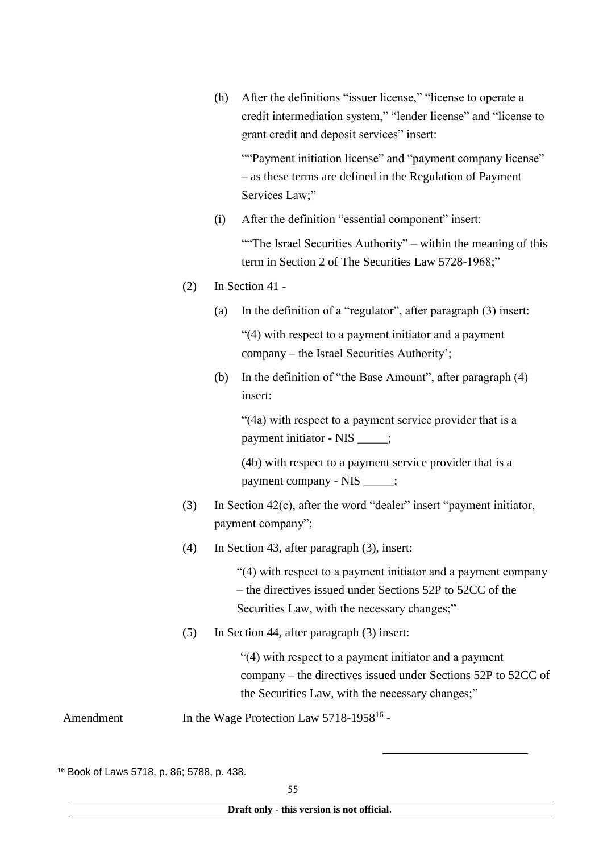(h) After the definitions "issuer license," "license to operate a credit intermediation system," "lender license" and "license to grant credit and deposit services" insert:

""Payment initiation license" and "payment company license" – as these terms are defined in the Regulation of Payment Services Law;"

(i) After the definition "essential component" insert:

"The Israel Securities Authority" – within the meaning of this term in Section 2 of The Securities Law 5728-1968;"

- (2) In Section 41
	- (a) In the definition of a "regulator", after paragraph (3) insert:

"(4) with respect to a payment initiator and a payment company – the Israel Securities Authority';

(b) In the definition of "the Base Amount", after paragraph (4) insert:

"(4a) with respect to a payment service provider that is a payment initiator - NIS \_\_\_\_\_;

(4b) with respect to a payment service provider that is a payment company - NIS  $\qquad$ ;

- (3) In Section 42(c), after the word "dealer" insert "payment initiator, payment company";
- (4) In Section 43, after paragraph (3), insert:

"(4) with respect to a payment initiator and a payment company – the directives issued under Sections 52P to 52CC of the Securities Law, with the necessary changes;"

(5) In Section 44, after paragraph (3) insert:

"(4) with respect to a payment initiator and a payment company – the directives issued under Sections 52P to 52CC of the Securities Law, with the necessary changes;"

-

Amendment In the Wage Protection Law 5718-1958<sup>16</sup> -

<sup>16</sup> Book of Laws 5718, p. 86; 5788, p. 438.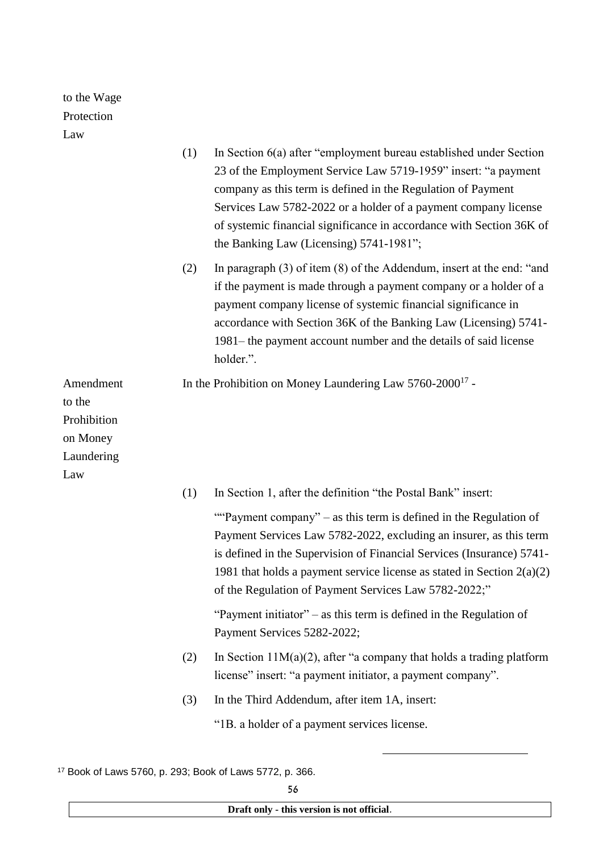to the Wage Protection

Law

| La vv                                                               | (1) | In Section 6(a) after "employment bureau established under Section<br>23 of the Employment Service Law 5719-1959" insert: "a payment<br>company as this term is defined in the Regulation of Payment<br>Services Law 5782-2022 or a holder of a payment company license<br>of systemic financial significance in accordance with Section 36K of<br>the Banking Law (Licensing) 5741-1981"; |
|---------------------------------------------------------------------|-----|--------------------------------------------------------------------------------------------------------------------------------------------------------------------------------------------------------------------------------------------------------------------------------------------------------------------------------------------------------------------------------------------|
|                                                                     | (2) | In paragraph $(3)$ of item $(8)$ of the Addendum, insert at the end: "and<br>if the payment is made through a payment company or a holder of a<br>payment company license of systemic financial significance in<br>accordance with Section 36K of the Banking Law (Licensing) 5741-<br>1981– the payment account number and the details of said license<br>holder.".                       |
| Amendment<br>to the<br>Prohibition<br>on Money<br>Laundering<br>Law |     | In the Prohibition on Money Laundering Law $5760-2000^{17}$ -                                                                                                                                                                                                                                                                                                                              |
|                                                                     | (1) | In Section 1, after the definition "the Postal Bank" insert:                                                                                                                                                                                                                                                                                                                               |
|                                                                     |     | ""Payment company" – as this term is defined in the Regulation of<br>Payment Services Law 5782-2022, excluding an insurer, as this term<br>is defined in the Supervision of Financial Services (Insurance) 5741-<br>1981 that holds a payment service license as stated in Section $2(a)(2)$<br>of the Regulation of Payment Services Law 5782-2022;"                                      |
|                                                                     |     | "Payment initiator" – as this term is defined in the Regulation of<br>Payment Services 5282-2022;                                                                                                                                                                                                                                                                                          |
|                                                                     | (2) | In Section $11M(a)(2)$ , after "a company that holds a trading platform<br>license" insert: "a payment initiator, a payment company".                                                                                                                                                                                                                                                      |
|                                                                     | (3) | In the Third Addendum, after item 1A, insert:                                                                                                                                                                                                                                                                                                                                              |
|                                                                     |     | "1B. a holder of a payment services license.                                                                                                                                                                                                                                                                                                                                               |

<sup>17</sup> Book of Laws 5760, p. 293; Book of Laws 5772, p. 366.

**Draft only - this version is not official**.

-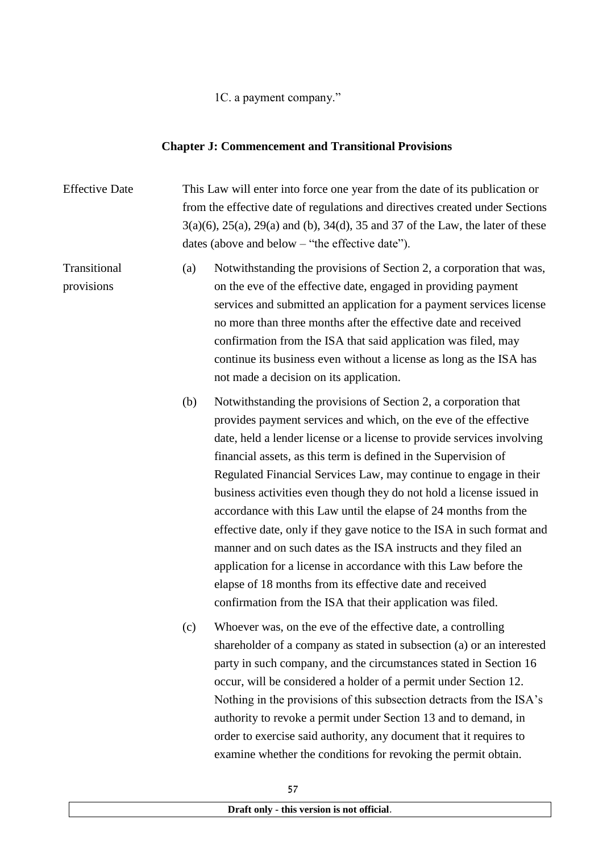1C. a payment company."

#### **Chapter J: Commencement and Transitional Provisions**

Effective Date This Law will enter into force one year from the date of its publication or from the effective date of regulations and directives created under Sections 3(a)(6), 25(a), 29(a) and (b), 34(d), 35 and 37 of the Law, the later of these dates (above and below – "the effective date").

Transitional provisions (a) Notwithstanding the provisions of Section 2, a corporation that was, on the eve of the effective date, engaged in providing payment services and submitted an application for a payment services license no more than three months after the effective date and received confirmation from the ISA that said application was filed, may continue its business even without a license as long as the ISA has not made a decision on its application.

> (b) Notwithstanding the provisions of Section 2, a corporation that provides payment services and which, on the eve of the effective date, held a lender license or a license to provide services involving financial assets, as this term is defined in the Supervision of Regulated Financial Services Law, may continue to engage in their business activities even though they do not hold a license issued in accordance with this Law until the elapse of 24 months from the effective date, only if they gave notice to the ISA in such format and manner and on such dates as the ISA instructs and they filed an application for a license in accordance with this Law before the elapse of 18 months from its effective date and received confirmation from the ISA that their application was filed.

> (c) Whoever was, on the eve of the effective date, a controlling shareholder of a company as stated in subsection (a) or an interested party in such company, and the circumstances stated in Section 16 occur, will be considered a holder of a permit under Section 12. Nothing in the provisions of this subsection detracts from the ISA's authority to revoke a permit under Section 13 and to demand, in order to exercise said authority, any document that it requires to examine whether the conditions for revoking the permit obtain.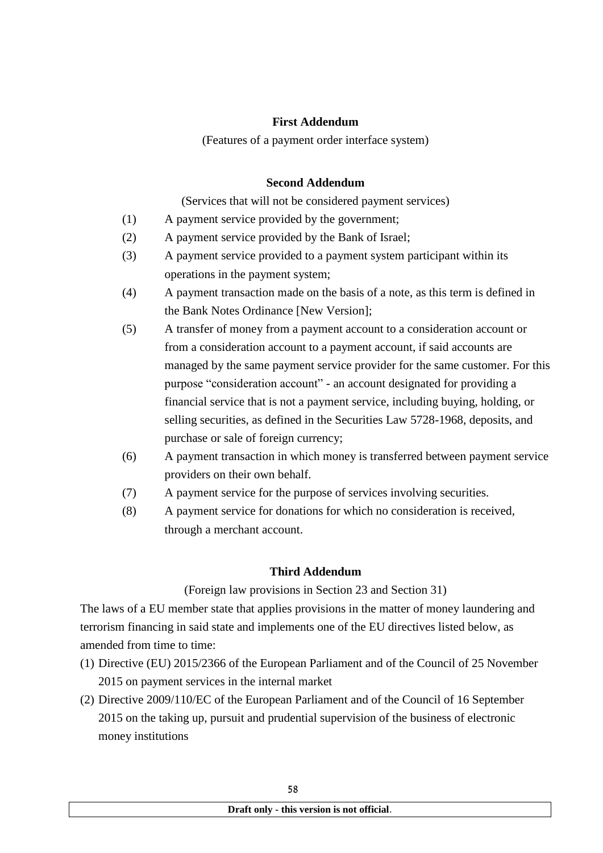## **First Addendum**

(Features of a payment order interface system)

## **Second Addendum**

(Services that will not be considered payment services)

- (1) A payment service provided by the government;
- (2) A payment service provided by the Bank of Israel;
- (3) A payment service provided to a payment system participant within its operations in the payment system;
- (4) A payment transaction made on the basis of a note, as this term is defined in the Bank Notes Ordinance [New Version];
- (5) A transfer of money from a payment account to a consideration account or from a consideration account to a payment account, if said accounts are managed by the same payment service provider for the same customer. For this purpose "consideration account" - an account designated for providing a financial service that is not a payment service, including buying, holding, or selling securities, as defined in the Securities Law 5728-1968, deposits, and purchase or sale of foreign currency;
- (6) A payment transaction in which money is transferred between payment service providers on their own behalf.
- (7) A payment service for the purpose of services involving securities.
- (8) A payment service for donations for which no consideration is received, through a merchant account.

### **Third Addendum**

### (Foreign law provisions in Section 23 and Section 31)

The laws of a EU member state that applies provisions in the matter of money laundering and terrorism financing in said state and implements one of the EU directives listed below, as amended from time to time:

- (1) Directive (EU) 2015/2366 of the European Parliament and of the Council of 25 November 2015 on payment services in the internal market
- (2) Directive 2009/110/EC of the European Parliament and of the Council of 16 September 2015 on the taking up, pursuit and prudential supervision of the business of electronic money institutions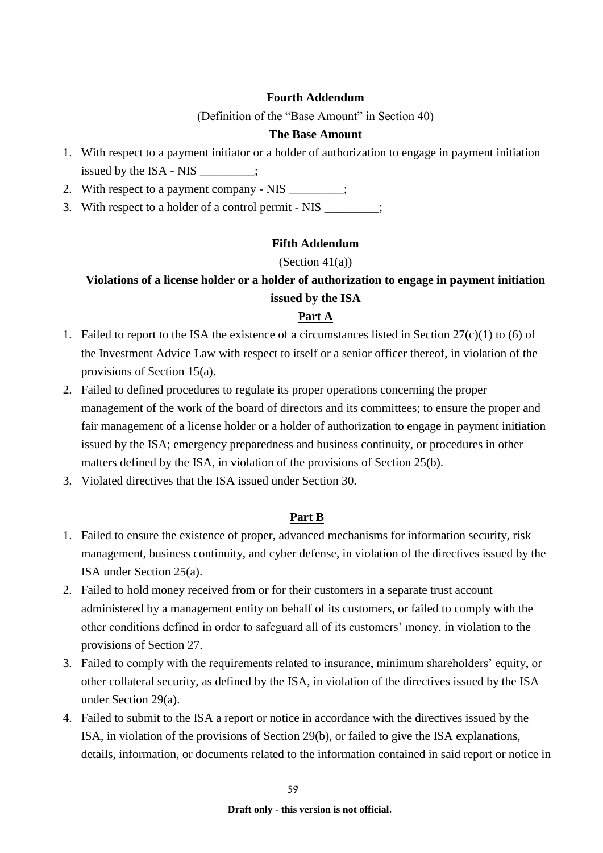## **Fourth Addendum**

(Definition of the "Base Amount" in Section 40)

## **The Base Amount**

- 1. With respect to a payment initiator or a holder of authorization to engage in payment initiation issued by the ISA - NIS :
- 2. With respect to a payment company NIS \_\_\_\_\_\_\_\_;
- 3. With respect to a holder of a control permit NIS  $\cdot$

## **Fifth Addendum**

## (Section 41(a))

# **Violations of a license holder or a holder of authorization to engage in payment initiation issued by the ISA**

## **Part A**

- 1. Failed to report to the ISA the existence of a circumstances listed in Section 27(c)(1) to (6) of the Investment Advice Law with respect to itself or a senior officer thereof, in violation of the provisions of Section 15(a).
- 2. Failed to defined procedures to regulate its proper operations concerning the proper management of the work of the board of directors and its committees; to ensure the proper and fair management of a license holder or a holder of authorization to engage in payment initiation issued by the ISA; emergency preparedness and business continuity, or procedures in other matters defined by the ISA, in violation of the provisions of Section 25(b).
- 3. Violated directives that the ISA issued under Section 30.

## **Part B**

- 1. Failed to ensure the existence of proper, advanced mechanisms for information security, risk management, business continuity, and cyber defense, in violation of the directives issued by the ISA under Section 25(a).
- 2. Failed to hold money received from or for their customers in a separate trust account administered by a management entity on behalf of its customers, or failed to comply with the other conditions defined in order to safeguard all of its customers' money, in violation to the provisions of Section 27.
- 3. Failed to comply with the requirements related to insurance, minimum shareholders' equity, or other collateral security, as defined by the ISA, in violation of the directives issued by the ISA under Section 29(a).
- 4. Failed to submit to the ISA a report or notice in accordance with the directives issued by the ISA, in violation of the provisions of Section 29(b), or failed to give the ISA explanations, details, information, or documents related to the information contained in said report or notice in